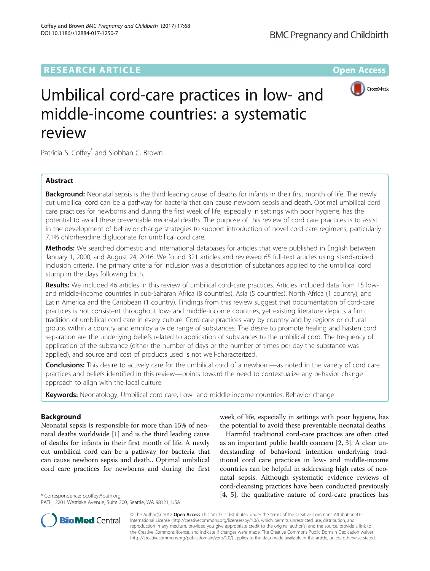# **RESEARCH ARTICLE External Structure Community Community Community Community Community Community Community Community**



# Umbilical cord-care practices in low- and middle-income countries: a systematic review

Patricia S. Coffey\* and Siobhan C. Brown

# Abstract

**Background:** Neonatal sepsis is the third leading cause of deaths for infants in their first month of life. The newly cut umbilical cord can be a pathway for bacteria that can cause newborn sepsis and death. Optimal umbilical cord care practices for newborns and during the first week of life, especially in settings with poor hygiene, has the potential to avoid these preventable neonatal deaths. The purpose of this review of cord care practices is to assist in the development of behavior-change strategies to support introduction of novel cord-care regimens, particularly 7.1% chlorhexidine digluconate for umbilical cord care.

Methods: We searched domestic and international databases for articles that were published in English between January 1, 2000, and August 24, 2016. We found 321 articles and reviewed 65 full-text articles using standardized inclusion criteria. The primary criteria for inclusion was a description of substances applied to the umbilical cord stump in the days following birth.

Results: We included 46 articles in this review of umbilical cord-care practices. Articles included data from 15 lowand middle-income countries in sub-Saharan Africa (8 countries), Asia (5 countries), North Africa (1 country), and Latin America and the Caribbean (1 country). Findings from this review suggest that documentation of cord-care practices is not consistent throughout low- and middle-income countries, yet existing literature depicts a firm tradition of umbilical cord care in every culture. Cord-care practices vary by country and by regions or cultural groups within a country and employ a wide range of substances. The desire to promote healing and hasten cord separation are the underlying beliefs related to application of substances to the umbilical cord. The frequency of application of the substance (either the number of days or the number of times per day the substance was applied), and source and cost of products used is not well-characterized.

Conclusions: This desire to actively care for the umbilical cord of a newborn—as noted in the variety of cord care practices and beliefs identified in this review—points toward the need to contextualize any behavior change approach to align with the local culture.

Keywords: Neonatology, Umbilical cord care, Low- and middle-income countries, Behavior change

# Background

Neonatal sepsis is responsible for more than 15% of neonatal deaths worldwide [[1\]](#page-18-0) and is the third leading cause of deaths for infants in their first month of life. A newly cut umbilical cord can be a pathway for bacteria that can cause newborn sepsis and death.. Optimal umbilical cord care practices for newborns and during the first

week of life, especially in settings with poor hygiene, has the potential to avoid these preventable neonatal deaths.

Harmful traditional cord-care practices are often cited as an important public health concern [\[2](#page-18-0), [3](#page-18-0)]. A clear understanding of behavioral intention underlying traditional cord care practices in low- and middle-income countries can be helpful in addressing high rates of neonatal sepsis. Although systematic evidence reviews of cord-cleansing practices have been conducted previously \* Correspondence: [pcoffey@path.org](mailto:pcoffey@path.org) [[4, 5](#page-18-0)], the qualitative nature of cord-care practices has



© The Author(s). 2017 **Open Access** This article is distributed under the terms of the Creative Commons Attribution 4.0 International License [\(http://creativecommons.org/licenses/by/4.0/](http://creativecommons.org/licenses/by/4.0/)), which permits unrestricted use, distribution, and reproduction in any medium, provided you give appropriate credit to the original author(s) and the source, provide a link to the Creative Commons license, and indicate if changes were made. The Creative Commons Public Domain Dedication waiver [\(http://creativecommons.org/publicdomain/zero/1.0/](http://creativecommons.org/publicdomain/zero/1.0/)) applies to the data made available in this article, unless otherwise stated.

PATH, 2201 Westlake Avenue, Suite 200, Seattle, WA 98121, USA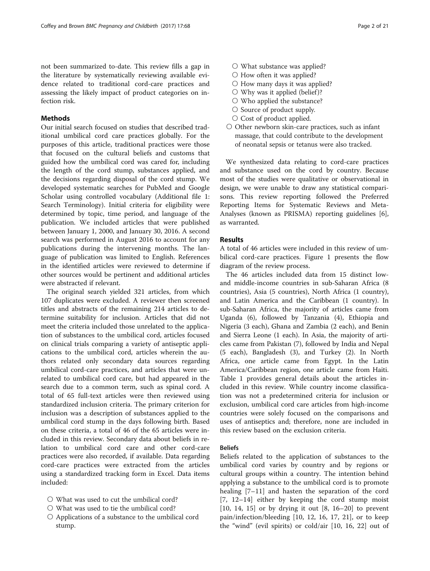not been summarized to-date. This review fills a gap in the literature by systematically reviewing available evidence related to traditional cord-care practices and assessing the likely impact of product categories on infection risk.

## **Methods**

Our initial search focused on studies that described traditional umbilical cord care practices globally. For the purposes of this article, traditional practices were those that focused on the cultural beliefs and customs that guided how the umbilical cord was cared for, including the length of the cord stump, substances applied, and the decisions regarding disposal of the cord stump. We developed systematic searches for PubMed and Google Scholar using controlled vocabulary (Additional file [1](#page-18-0): Search Terminology). Initial criteria for eligibility were determined by topic, time period, and language of the publication. We included articles that were published between January 1, 2000, and January 30, 2016. A second search was performed in August 2016 to account for any publications during the intervening months. The language of publication was limited to English. References in the identified articles were reviewed to determine if other sources would be pertinent and additional articles were abstracted if relevant.

The original search yielded 321 articles, from which 107 duplicates were excluded. A reviewer then screened titles and abstracts of the remaining 214 articles to determine suitability for inclusion. Articles that did not meet the criteria included those unrelated to the application of substances to the umbilical cord, articles focused on clinical trials comparing a variety of antiseptic applications to the umbilical cord, articles wherein the authors related only secondary data sources regarding umbilical cord-care practices, and articles that were unrelated to umbilical cord care, but had appeared in the search due to a common term, such as spinal cord. A total of 65 full-text articles were then reviewed using standardized inclusion criteria. The primary criterion for inclusion was a description of substances applied to the umbilical cord stump in the days following birth. Based on these criteria, a total of 46 of the 65 articles were included in this review. Secondary data about beliefs in relation to umbilical cord care and other cord-care practices were also recorded, if available. Data regarding cord-care practices were extracted from the articles using a standardized tracking form in Excel. Data items included:

- What was used to cut the umbilical cord?
- What was used to tie the umbilical cord?
- Applications of a substance to the umbilical cord stump.
- What substance was applied?
- How often it was applied?
- How many days it was applied?
- $\bigcirc$  Why was it applied (belief)?
- Who applied the substance?
- Source of product supply.
- Cost of product applied.
- Other newborn skin-care practices, such as infant massage, that could contribute to the development of neonatal sepsis or tetanus were also tracked.

We synthesized data relating to cord-care practices and substance used on the cord by country. Because most of the studies were qualitative or observational in design, we were unable to draw any statistical comparisons. This review reporting followed the Preferred Reporting Items for Systematic Reviews and Meta-Analyses (known as PRISMA) reporting guidelines [\[6](#page-18-0)], as warranted.

## Results

A total of 46 articles were included in this review of umbilical cord-care practices. Figure [1](#page-2-0) presents the flow diagram of the review process.

The 46 articles included data from 15 distinct lowand middle-income countries in sub-Saharan Africa (8 countries), Asia (5 countries), North Africa (1 country), and Latin America and the Caribbean (1 country). In sub-Saharan Africa, the majority of articles came from Uganda (6), followed by Tanzania (4), Ethiopia and Nigeria (3 each), Ghana and Zambia (2 each), and Benin and Sierra Leone (1 each). In Asia, the majority of articles came from Pakistan (7), followed by India and Nepal (5 each), Bangladesh (3), and Turkey (2). In North Africa, one article came from Egypt. In the Latin America/Caribbean region, one article came from Haiti. Table [1](#page-3-0) provides general details about the articles included in this review. While country income classification was not a predetermined criteria for inclusion or exclusion, umbilical cord care articles from high-income countries were solely focused on the comparisons and uses of antiseptics and; therefore, none are included in this review based on the exclusion criteria.

## Beliefs

Beliefs related to the application of substances to the umbilical cord varies by country and by regions or cultural groups within a country. The intention behind applying a substance to the umbilical cord is to promote healing [[7](#page-18-0)–[11\]](#page-19-0) and hasten the separation of the cord [[7](#page-18-0), [12](#page-19-0)–[14](#page-19-0)] either by keeping the cord stump moist [[10,](#page-18-0) [14, 15](#page-19-0)] or by drying it out [[8,](#page-18-0) [16](#page-19-0)–[20\]](#page-19-0) to prevent pain/infection/bleeding [[10](#page-18-0), [12](#page-19-0), [16, 17, 21](#page-19-0)], or to keep the "wind" (evil spirits) or cold/air [[10,](#page-18-0) [16](#page-19-0), [22\]](#page-19-0) out of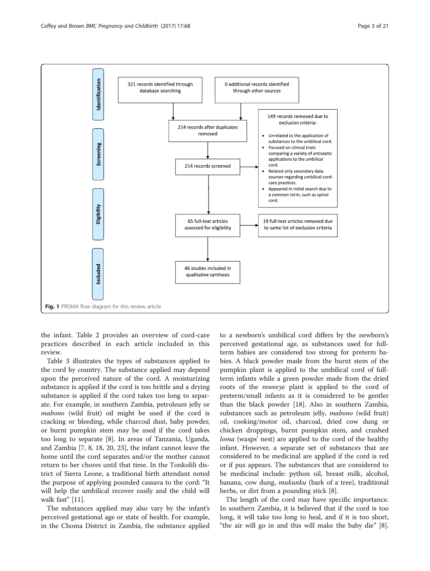<span id="page-2-0"></span>

the infant. Table [2](#page-7-0) provides an overview of cord-care practices described in each article included in this review.

Table [3](#page-14-0) illustrates the types of substances applied to the cord by country. The substance applied may depend upon the perceived nature of the cord. A moisturizing substance is applied if the cord is too brittle and a drying substance is applied if the cord takes too long to separate. For example, in southern Zambia, petroleum jelly or mabono (wild fruit) oil might be used if the cord is cracking or bleeding, while charcoal dust, baby powder, or burnt pumpkin stem may be used if the cord takes too long to separate [\[8](#page-18-0)]. In areas of Tanzania, Uganda, and Zambia [\[7, 8](#page-18-0), [18](#page-19-0), [20](#page-19-0), [23](#page-19-0)], the infant cannot leave the home until the cord separates and/or the mother cannot return to her chores until that time. In the Tonkolili district of Sierra Leone, a traditional birth attendant noted the purpose of applying pounded cassava to the cord: "It will help the umbilical recover easily and the child will walk fast" [\[11](#page-19-0)].

The substances applied may also vary by the infant's perceived gestational age or state of health. For example, in the Choma District in Zambia, the substance applied

to a newborn's umbilical cord differs by the newborn's perceived gestational age, as substances used for fullterm babies are considered too strong for preterm babies. A black powder made from the burnt stem of the pumpkin plant is applied to the umbilical cord of fullterm infants while a green powder made from the dried roots of the mweeye plant is applied to the cord of preterm/small infants as it is considered to be gentler than the black powder [\[18\]](#page-19-0). Also in southern Zambia, substances such as petroleum jelly, mabono (wild fruit) oil, cooking/motor oil, charcoal, dried cow dung or chicken droppings, burnt pumpkin stem, and crushed loma (wasps' nest) are applied to the cord of the healthy infant. However, a separate set of substances that are considered to be medicinal are applied if the cord is red or if pus appears. The substances that are considered to be medicinal include: python oil, breast milk, alcohol, banana, cow dung, *mukunku* (bark of a tree), traditional herbs, or dirt from a pounding stick [[8](#page-18-0)].

The length of the cord may have specific importance. In southern Zambia, it is believed that if the cord is too long, it will take too long to heal, and if it is too short, "the air will go in and this will make the baby die" [\[8](#page-18-0)].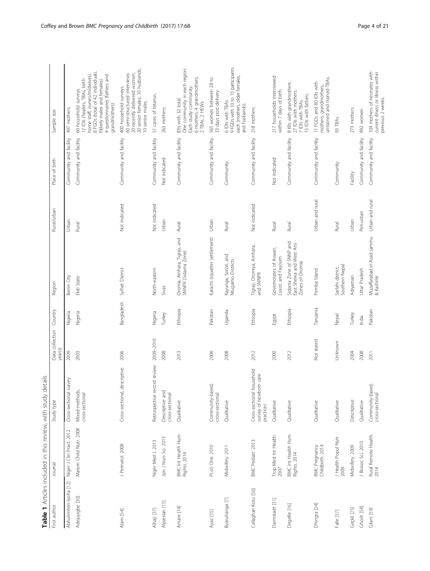<span id="page-3-0"></span>

|                       | Table 1 Articles included in this review, with study details |                                                                  |                            |            |                                                                        |                 |                        |                                                                                                                                                                                                             |
|-----------------------|--------------------------------------------------------------|------------------------------------------------------------------|----------------------------|------------|------------------------------------------------------------------------|-----------------|------------------------|-------------------------------------------------------------------------------------------------------------------------------------------------------------------------------------------------------------|
| First author          | Journal                                                      | Study type                                                       | Data collection<br>year(s) | Country    | Region                                                                 | Rural/urban     | Place of birth         | Sample size                                                                                                                                                                                                 |
| Abhulimhen-lyoha [12] | Niger J Clin Pract. 2012                                     | survey<br>Cross-sectional                                        | 2009                       | Nigeria    | Benin City                                                             | Urban           | Community and facility | 497 mothers.                                                                                                                                                                                                |
| Adejuyigbe [30]       | Matern Child Nutr. 2008                                      | Mixed-methods,<br>cross-sectional                                | 2003                       | Nigeria    | Ekiti State                                                            | Rural           | Community and facility | 8 FGDs (total of 42 individuals.<br>home staff, nurses/midwives)<br>4 questionnaires (fathers and<br>12 IDIs (healers, TBAs, birth<br>Elderly males and females)<br>60 household surveys.<br>grandmothers). |
| Alam [54]             | J Perinatol. 2008                                            | Cross-sectional, descriptive                                     | 2006                       | Bangladesh | Sylhet District                                                        | Not indicated   | Community and facility | 20 senior females, 10 husbands,<br>20 recently delivered women,<br>60 semi-structured interviews:<br>400 household surveys.<br>10 senior males.                                                             |
| Alhaji [37]           | Niger Med J. 2013                                            | Retrospective record review                                      | 2009-2010                  | Nigeria    | North-eastern                                                          | Not indicated   | Community and facility | 51 cases of tetanus.                                                                                                                                                                                        |
| Alparslan [13]        | Jpn J Nurs Sci. 2013                                         | Descriptive and<br>cross-sectional                               | 2008                       | Turkey     | Sivas                                                                  | Urban           | Not indicated          | 263 mothers.                                                                                                                                                                                                |
| Amare [14]            | BMC Int Health Hum<br>Rights. 2014                           | Qualitative                                                      | 2013                       | Ethiopia   | Oromia, Amhara, Tigray, and<br>SNNPR (Sidama Zone)                     | Rural           | Community and facility | One community in each region.<br>6 mothers, 4 grandmothers,<br>Each study community:<br>IDIs with 32 total.<br>2 TBAs, 2 HEWs.                                                                              |
| Ayaz [55]             | PLoS One. 2010                                               | Community-based,<br>cross-sectional                              | 2006                       | Pakistan   | Karachi (squatter settlement)                                          | Urban           | Community and facility | 565 women between 28 to<br>33 days post-delivery.                                                                                                                                                           |
| Byaruhanga [7]        | Midwifery. 2011                                              | Qualitative                                                      | 2008                       | Uganda     | Kayunga, Soroti, and<br>Ntugamo Districts                              | Rural           | Community              | 9 FGDs with 10 to 15 participants<br>each (mothers, older females,<br>6 IDIs with TBAs.<br>and husbands).                                                                                                   |
| Callaghan-Koru [56]   | BMC Pediatr. 2013                                            | Cross-sectional household<br>survey of newborn care<br>practices | 2012                       | Ethiopia   | Tigray, Oromiya, Amhara,<br>and SNNPR                                  | Not indicated   | Community and facility | 218 mothers.                                                                                                                                                                                                |
| Darmstadt [31]        | Trop Med Int Health.<br>2007                                 | Qualitative                                                      | 2000                       | Egypt      | Governorates of Aswan,<br>Luxor, and Fayoum                            | Rural           | Not indicated          | 217 households interviewed<br>within 7 days of birth.                                                                                                                                                       |
| Degefie [16]          | BMC Int Health Hum<br>Rights. 2014                           | Qualitative                                                      | 2012                       | Ethiopia   | Sidama Zone of SNNP and<br>East Shewa and West Arsi<br>Zones of Oromia | Rural           | Community and facility | 8 Klls with grandmothers.<br>27 IDIs with mothers.<br>IS IDIs with fathers.<br>7 IDIs with TBAs.                                                                                                            |
| Dhingra [24]          | BMC Pregnancy<br>Childbirth. 2014                            | Qualitative                                                      | Not stated                 | Tanzania   | Pemba Island                                                           | Urban and rural | Community and facility | untrained and trained TBAs.<br>11 FGDs and 80 IDIs with<br>grandmothers,<br>mothers,                                                                                                                        |
| Falle [57]            | J Health Popul Nutr.<br>2009                                 | Qualitative                                                      | Unknown                    | Nepal      | Southern Nepal<br>Sarlahi district,                                    | Rural           | Community              | 93 TBAs.                                                                                                                                                                                                    |
| Geçkil [25]           | Midwifery. 2009                                              | Descriptive                                                      | 2004                       | Turkey     | Adiyaman                                                               | Urban           | Facility               | 273 mothers.                                                                                                                                                                                                |
| Ghosh [58]            | J Biosoc Sci. 2010                                           | Qualitative                                                      | 2008                       | India      | Uttar Pradesh                                                          | Peri-urban      | Community and facility | 892 women.                                                                                                                                                                                                  |
| Gilani [59]           | Rural Remote Health.<br>2014                                 | Community-based,<br>cross-sectional                              | 2011                       | Pakistan   | Muzaffarabad in Azad Jammu<br>& Kashmir                                | Urban and rural | Community and facility | 104 mothers of neonates with<br>current illness or illness within<br>previous 2 weeks.                                                                                                                      |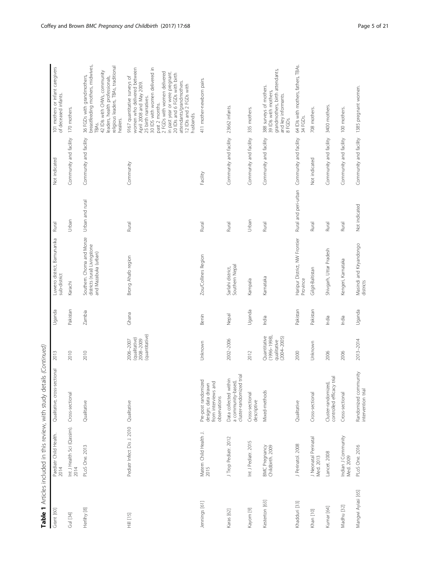| Grant [60]         | Paediatr Child Health.<br>2014     | Qualitative, cross-sectional                                                     | 2013                                                              | Uganda   | Luwero district, Bamunanika<br>sub-district                                        | Rural                | Not indicated          | 101 mothers or infant caregivers<br>of deceased infants.                                                                                                                                                                                                                                                                                  |
|--------------------|------------------------------------|----------------------------------------------------------------------------------|-------------------------------------------------------------------|----------|------------------------------------------------------------------------------------|----------------------|------------------------|-------------------------------------------------------------------------------------------------------------------------------------------------------------------------------------------------------------------------------------------------------------------------------------------------------------------------------------------|
| Gul [34]           | Int J Health Sci (Qassim).<br>2014 | Cross-sectional                                                                  | 2010                                                              | Pakistan | Karachi                                                                            | Urban                | Community and facility | 170 mothers.                                                                                                                                                                                                                                                                                                                              |
| Herlihy [8]        | PLoS One. 2013                     | Qualitative                                                                      | 2010                                                              | Zambia   | Southern. Choma and Monze<br>districts (rural) Livingstone<br>and Mazabuka (urban) | Urban and rural      | Community and facility | breastfeeding mothers, midwives,<br>religious leaders, TBAs, traditional<br>42 IDIs with CHWs, community<br>36 FGDs with grandmothers,<br>leaders, health professionals,<br>healers.<br>TBA <sub>S</sub>                                                                                                                                  |
| Hill [15]          | Pediatr Infect Dis J. 2010         | Qualitative                                                                      | (quantitative)<br>(qualitative)<br>2008-2009<br>2006-2007         | Ghana    | Brong Ahafo region                                                                 | Rural                | Community              | 30 IDS with women delivered in<br>women who delivered between<br>2 FGDs with women delivered<br>in past year or were pregnant.<br>20 IDIs and 6 FGDs with birth<br>9167 quantitative surveys of<br>attendants/grandmothers.<br>April 2008 and May 2009.<br>12 IDIs and 2 FGDs with<br>25 birth narratives.<br>past 2 months.<br>husbands. |
| Jennings [61]      | Matern Child Health J.<br>2015     | Pre-post randomized<br>from interviews and<br>design; data drawn<br>observations | Unknown                                                           | Benin    | Zou/Collines Region                                                                | Rural                | Facility               | 411 mother-newborn pairs.                                                                                                                                                                                                                                                                                                                 |
| Karas [62]         | J Trop Pediatr. 2012               | cluster-randomized trial<br>Data collected within<br>a community-based,          | 2002-2006                                                         | Nepal    | Southern Nepal<br>Sarlahi district,                                                | Rural                | Community and facility | 23662 infants.                                                                                                                                                                                                                                                                                                                            |
| Kayom [9]          | Int J Pediatr. 2015                | Cross-sectional<br>descriptive                                                   | 2012                                                              | Uganda   | Kampala                                                                            | Urban                | Community and facility | 335 mothers.                                                                                                                                                                                                                                                                                                                              |
| Kesterton [63]     | BMC Pregnancy<br>Childbirth. 2009  | Mixed-methods                                                                    | Quantitative<br>$(1996 - 1998)$<br>$(2004 - 2005)$<br>qualitative | India    | Karnataka                                                                          | Rural                | Community and facility | grandmothers, birth attendants,<br>388 surveys of mothers.<br>39 IDIs with mothers,<br>and key informants.<br>8 FGDs.                                                                                                                                                                                                                     |
| Khadduri [33]      | J Perinatol. 2008                  | Qualitative                                                                      | 2000                                                              | Pakistan | Haripur District, NW Frontier<br>Province                                          | Rural and peri-urban | Community and facility | 64 IDIs with mothers, fathers, TBAs.<br>34 FGDs.                                                                                                                                                                                                                                                                                          |
| Khan [10]          | J Neonatal Perinatal<br>Med. 2013  | Cross-sectional                                                                  | Unknown                                                           | Pakistan | Gilgit-Baltistan                                                                   | Rural                | Not indicated          | 708 mothers.                                                                                                                                                                                                                                                                                                                              |
| Kumar [64]         | Lancet. 2008                       | controlled efficacy trial<br>Cluster-randomized,                                 | 2006                                                              | India    | Shivgarh, Uttar Pradesh                                                            | Rural                | Community and facility | 3400 mothers.                                                                                                                                                                                                                                                                                                                             |
| Madhu [32]         | Indian J Community<br>Med. 2009    | Cross-sectional                                                                  | 2006                                                              | India    | Kengeri, Karnataka                                                                 | Rural                | Community and facility | 100 mothers.                                                                                                                                                                                                                                                                                                                              |
| Mangwi Ayiasi [65] | PLoS One. 2016                     | Randomized community<br>intervention trial                                       | 2013-2014                                                         | Uganda   | Masindi and Kiryandongo<br>districts                                               | Not indicated        | Community and facility | 1385 pregnant women.                                                                                                                                                                                                                                                                                                                      |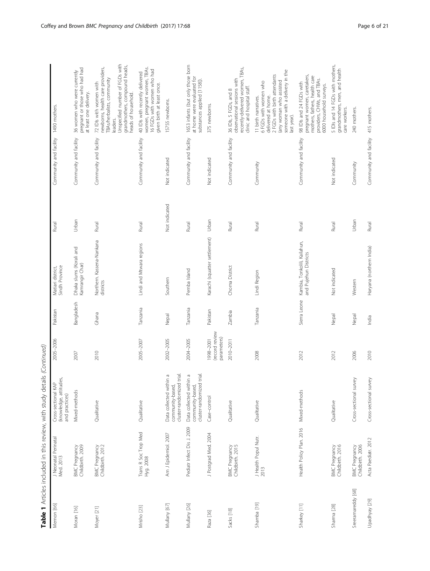| Memon [66]         | J Neonatal Perinatal<br>Med. 2013        | (knowledge, attitudes,<br>Cross-sectional KAP<br>and practices)          | 2005-2006                                  | Pakistan     | Matiari district,<br>Sindh Province                   | Rural         | Community and facility 1490 mothers. |                                                                                                                                                                                                  |
|--------------------|------------------------------------------|--------------------------------------------------------------------------|--------------------------------------------|--------------|-------------------------------------------------------|---------------|--------------------------------------|--------------------------------------------------------------------------------------------------------------------------------------------------------------------------------------------------|
| Moran [16]         | Childbirth. 2009<br>BMC Pregnancy        | Mixed-methods                                                            | 2007                                       | Bangladesh   | Dhaka slums (Korali and<br>Kamrangir Char)            | Urban         | Community and facility               | pregnant or those who had had<br>36 women who were currently<br>at least one delivery.                                                                                                           |
| Moyer [21]         | Childbirth. 2012<br><b>BMC Pregnancy</b> | Qualitative                                                              | 2010                                       | Ghana        | Northern. Kassena-Nankana<br>districts                | Rural         | Community and facility               | Unspecified number of FGDs with<br>grandmothers, compound heads,<br>newborns, health care providers,<br>TBAs/herbalists, community<br>72 IDIs with women with<br>heads of household.<br>leaders. |
| Mrisho [23]        | Trans R Soc Trop Med<br>Hyg. 2008        | Qualitative                                                              | 2005-2007                                  | Tanzania     | Lindi and Mtwara regions                              | Rural         | Community and facility               | women, pregnant women, TBAs.<br>16 FGDs with women who had<br>40 IDIs with recently delivered<br>given birth at least once.                                                                      |
| Mullany [67]       | Am J Epidemiol. 2007                     | cluster-randomized trial<br>Data collected within a<br>community-based,  | 2002-2005                                  | Nepal        | Southern                                              | Not indicated | Not indicated                        | 15755 newborns.                                                                                                                                                                                  |
| Mullany [26]       | Pediatr Infect Dis J. 2009               | cluster-randomized trial.<br>Data collected within a<br>community-based, | 2004-2005                                  | Tanzania     | Pemba Island                                          | Rural         | Community and facility               | 1653 infants (but only those born<br>at home were evaluated for<br>substances applied [1158]).                                                                                                   |
| Raza [36]          | J Postgrad Med. 2004                     | Case-control                                                             | (record review<br>parameters)<br>1998-2001 | Pakistan     | Karachi (squatter settlement)                         | Urban         | Not indicated                        | 375 newborns.                                                                                                                                                                                    |
| Sacks [18]         | BMC Pregnancy<br>Childbirth. 2015        | Qualitative                                                              | 2010-2011                                  | Zambia       | Choma District                                        | Rural         | Community and facility               | recently-delivered women, TBAs,<br>observational sessions with<br>clinic and hospital staff.<br>36 IDIs, 5 FGDs, and 8                                                                           |
| Shamba [19]        | J Health Popul Nutr.<br>2013             | Qualitative                                                              | 2008                                       | Tanzania     | Lindi Region                                          | Rural         | Community                            | someone with a delivery in the<br>2 FGDs with birth attendants<br>(any woman who assisted<br>6 FGDs with women who<br>delivered at home.<br>11 birth narratives.<br>last year).                  |
| Sharkey [11]       | Health Policy Plan. 2016                 | Mixed-methods                                                            | 2012                                       | Sierra Leone | Kambia, Tonkolili, Kailahun,<br>and Pujehun Districts | Rural         | Community and facility               | pregnant women, caretakers,<br>mothers, fathers, health care<br>providers, CHWs, and TBAs.<br>98 IDIs and 24 FGDs with<br>6000 household surveys.                                                |
| Sharma [28]        | BMC Pregnancy<br>Childbirth. 2016        | Qualitative                                                              | 2012                                       | Nepal        | Not indicated                                         | Rural         | Not indicated                        | 5 IDIs and 14 FGDs with mothers,<br>grandmothers, men, and health<br>care workers.                                                                                                               |
| Sreeramareddy [68] | Childbirth. 2006<br>BMC Pregnancy        | Cross-sectional survey                                                   | 2006                                       | Nepal        | Western                                               | Urban         | Community                            | 240 mothers.                                                                                                                                                                                     |
| Upadhyay [29]      | Acta Paediatr. 2012                      | Cross-sectional survey                                                   | 2010                                       | India        | Haryana (northern India)                              | Rural         | Community and facility               | 415 mothers.                                                                                                                                                                                     |

| i<br>Í<br>ţ                                                                                                        |
|--------------------------------------------------------------------------------------------------------------------|
| )<br>}<br>}<br>l                                                                                                   |
| +dて こてこも Sf;<br>;                                                                                                  |
| ;                                                                                                                  |
| $\frac{1}{2}$                                                                                                      |
|                                                                                                                    |
| itual conduction in the direct of our conduction of the conduction of the conduction of the conduct<br>-<br>5<br>Î |
| j                                                                                                                  |
| ľ                                                                                                                  |
|                                                                                                                    |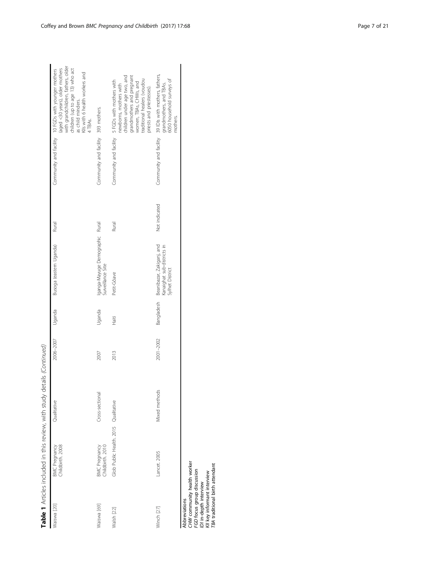|             |                                          | Table 1 Articles included in this review, with study details (Continued) |           |            |                                                                            |               |                                     |                                                                                                                                                                                                                                   |
|-------------|------------------------------------------|--------------------------------------------------------------------------|-----------|------------|----------------------------------------------------------------------------|---------------|-------------------------------------|-----------------------------------------------------------------------------------------------------------------------------------------------------------------------------------------------------------------------------------|
| Waiswa [20] | Childbirth. 2008<br>BMC Pregnancy        | Qualitative                                                              | 2006-2007 | Uganda     | Busoga (eastern Uganda)                                                    | Rural         |                                     | with grandchildren, fathers, older<br>(aged <30 years), older mothers<br>children (up to age 13) who act<br>Community and facility 10 FGDs with younger mothers<br>as child minders.<br>Klls with 6 health workers and<br>4 TBAS. |
| Waiswa [69] | Childbirth. 2010<br><b>BMC</b> Pregnancy | Cross-sectional                                                          | 2007      | Uganda     | Iganga-Mayuge Demographic<br>Surveillance Site                             | Rural         | Community and facility 393 mothers. |                                                                                                                                                                                                                                   |
| Walsh [22]  | Glob Public Health. 2015 Qualitative     |                                                                          | 2013      | Häti       | Petit-Gôave                                                                | Rural         |                                     | children under age two, and<br>grandmothers and pregnant<br>traditional healers (voudou<br>Community and facility 5 FGDs with mothers with<br>women, TBAs, CHWs, and<br>newborns, mothers with<br>priests and priestesses).       |
| Winch [27]  | Lancet. 2005                             | Mixed methods                                                            | 2001-2002 | Bangladesh | Beanibazar, Zakiganj, and<br>Kanaighat sub-districts in<br>Sylhet District | Not indicated |                                     | Community and facility 39 IDIs with mothers, fathers,<br>6050 household surveys of<br>grandmothers, and TBAs.<br>mothers.                                                                                                         |
|             |                                          |                                                                          |           |            |                                                                            |               |                                     |                                                                                                                                                                                                                                   |

Abbreviations<br>CHW community health worker<br>FGD focus group discussion<br>IDI in-depth interview<br>KII key informant interview<br>TBA traditional birth attendant CHW community health worker FGD focus group discussion KII key informant interview IDI in-depth interview Abbreviations

TBA traditional birth attendant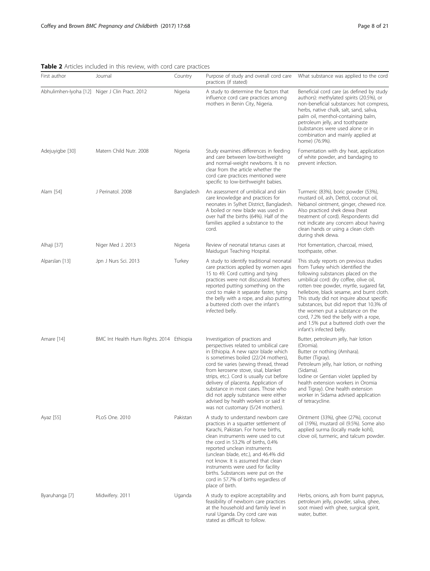<span id="page-7-0"></span>

| Table 2 Articles included in this review, with cord care practices |  |  |  |  |  |  |  |
|--------------------------------------------------------------------|--|--|--|--|--|--|--|
|--------------------------------------------------------------------|--|--|--|--|--|--|--|

| First author    | Journal                                        | Country    | Purpose of study and overall cord care<br>practices (if stated)                                                                                                                                                                                                                                                                                                                                                                                                                          | What substance was applied to the cord                                                                                                                                                                                                                                                                                                                                                                                                                                                           |
|-----------------|------------------------------------------------|------------|------------------------------------------------------------------------------------------------------------------------------------------------------------------------------------------------------------------------------------------------------------------------------------------------------------------------------------------------------------------------------------------------------------------------------------------------------------------------------------------|--------------------------------------------------------------------------------------------------------------------------------------------------------------------------------------------------------------------------------------------------------------------------------------------------------------------------------------------------------------------------------------------------------------------------------------------------------------------------------------------------|
|                 | Abhulimhen-Iyoha [12] Niger J Clin Pract. 2012 | Nigeria    | A study to determine the factors that<br>influence cord care practices among<br>mothers in Benin City, Nigeria.                                                                                                                                                                                                                                                                                                                                                                          | Beneficial cord care (as defined by study<br>authors): methylated spirits (20.5%), or<br>non-beneficial substances: hot compress,<br>herbs, native chalk, salt, sand, saliva,<br>palm oil, menthol-containing balm,<br>petroleum jelly, and toothpaste<br>(substances were used alone or in<br>combination and mainly applied at<br>home) (76.9%).                                                                                                                                               |
| Adejuyigbe [30] | Matern Child Nutr. 2008                        | Nigeria    | Study examines differences in feeding<br>and care between low-birthweight<br>and normal-weight newborns. It is no<br>clear from the article whether the<br>cord care practices mentioned were<br>specific to low-birthweight babies.                                                                                                                                                                                                                                                     | Fomentation with dry heat, application<br>of white powder, and bandaging to<br>prevent infection.                                                                                                                                                                                                                                                                                                                                                                                                |
| Alam [54]       | J Perinatol. 2008                              | Bangladesh | An assessment of umbilical and skin<br>care knowledge and practices for<br>neonates in Sylhet District, Bangladesh.<br>A boiled or new blade was used in<br>over half the births (64%). Half of the<br>families applied a substance to the<br>cord.                                                                                                                                                                                                                                      | Turmeric (83%), boric powder (53%),<br>mustard oil, ash, Dettol, coconut oil,<br>Nebanol ointment, ginger, chewed rice.<br>Also practiced shek dewa (heat<br>treatment of cord). Respondents did<br>not indicate any concern about having<br>clean hands or using a clean cloth<br>during shek dewa.                                                                                                                                                                                             |
| Alhaji [37]     | Niger Med J. 2013                              | Nigeria    | Review of neonatal tetanus cases at<br>Maiduguri Teaching Hospital.                                                                                                                                                                                                                                                                                                                                                                                                                      | Hot fomentation, charcoal, mixed,<br>toothpaste, other.                                                                                                                                                                                                                                                                                                                                                                                                                                          |
| Alparslan [13]  | Jpn J Nurs Sci. 2013                           | Turkey     | A study to identify traditional neonatal<br>care practices applied by women ages<br>15 to 49. Cord cutting and tying<br>practices were not discussed. Mothers<br>reported putting something on the<br>cord to make it separate faster, tying<br>the belly with a rope, and also putting<br>a buttered cloth over the infant's<br>infected belly.                                                                                                                                         | This study reports on previous studies<br>from Turkey which identified the<br>following substances placed on the<br>umbilical cord: dry coffee, olive oil,<br>rotten tree powder, myrtle, sugared fat,<br>hellebore, black sesame, and burnt cloth.<br>This study did not inquire about specific<br>substances, but did report that 10.3% of<br>the women put a substance on the<br>cord, 7.2% tied the belly with a rope,<br>and 1.5% put a buttered cloth over the<br>infant's infected belly. |
| Amare [14]      | BMC Int Health Hum Rights. 2014 Ethiopia       |            | Investigation of practices and<br>perspectives related to umbilical care<br>in Ethiopia. A new razor blade which<br>is sometimes boiled (22/24 mothers),<br>cord tie varies (sewing thread, thread<br>from kerosene stove, sisal, blanket<br>strips, etc.). Cord is usually cut before<br>delivery of placenta. Application of<br>substance in most cases. Those who<br>did not apply substance were either<br>advised by health workers or said it<br>was not customary (5/24 mothers). | Butter, petroleum jelly, hair lotion<br>(Oromia).<br>Butter or nothing (Amhara).<br>Butter (Tigray).<br>Petroleum jelly, hair lotion, or nothing<br>(Sidama).<br>lodine or Gentian violet (applied by<br>health extension workers in Oromia<br>and Tigray). One health extension<br>worker in Sidama advised application<br>of tetracycline.                                                                                                                                                     |
| Ayaz [55]       | PLoS One. 2010                                 | Pakistan   | A study to understand newborn care<br>practices in a squatter settlement of<br>Karachi, Pakistan. For home births,<br>clean instruments were used to cut<br>the cord in 53.2% of births, 0.4%<br>reported unclean instruments<br>(unclean blade, etc.), and 46.4% did<br>not know. It is assumed that clean<br>instruments were used for facility<br>births. Substances were put on the<br>cord in 57.7% of births regardless of<br>place of birth.                                      | Ointment (33%), ghee (27%), coconut<br>oil (19%), mustard oil (9.5%). Some also<br>applied surma (locally made kohl),<br>clove oil, turmeric, and talcum powder.                                                                                                                                                                                                                                                                                                                                 |
| Byaruhanga [7]  | Midwifery. 2011                                | Uganda     | A study to explore acceptability and<br>feasibility of newborn care practices<br>at the household and family level in<br>rural Uganda. Dry cord care was<br>stated as difficult to follow.                                                                                                                                                                                                                                                                                               | Herbs, onions, ash from burnt papyrus,<br>petroleum jelly, powder, saliva, ghee,<br>soot mixed with ghee, surgical spirit,<br>water, butter.                                                                                                                                                                                                                                                                                                                                                     |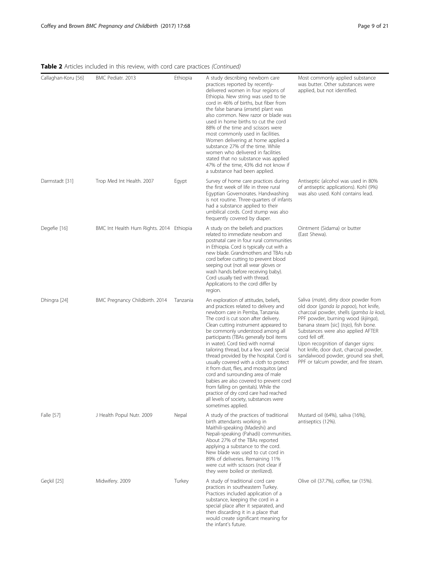| Callaghan-Koru [56] | BMC Pediatr. 2013                        | Ethiopia | A study describing newborn care<br>practices reported by recently-<br>delivered women in four regions of<br>Ethiopia. New string was used to tie<br>cord in 46% of births, but fiber from<br>the false banana (ensete) plant was<br>also common. New razor or blade was<br>used in home births to cut the cord<br>88% of the time and scissors were<br>most commonly used in facilities.<br>Women delivering at home applied a<br>substance 27% of the time. While<br>women who delivered in facilities<br>stated that no substance was applied<br>47% of the time, 43% did not know if<br>a substance had been applied.                                                                                                             | Most commonly applied substance<br>was butter. Other substances were<br>applied, but not identified.                                                                                                                                                                                                                                                                                                                              |
|---------------------|------------------------------------------|----------|--------------------------------------------------------------------------------------------------------------------------------------------------------------------------------------------------------------------------------------------------------------------------------------------------------------------------------------------------------------------------------------------------------------------------------------------------------------------------------------------------------------------------------------------------------------------------------------------------------------------------------------------------------------------------------------------------------------------------------------|-----------------------------------------------------------------------------------------------------------------------------------------------------------------------------------------------------------------------------------------------------------------------------------------------------------------------------------------------------------------------------------------------------------------------------------|
| Darmstadt [31]      | Trop Med Int Health. 2007                | Egypt    | Survey of home care practices during<br>the first week of life in three rural<br>Egyptian Governorates. Handwashing<br>is not routine. Three-quarters of infants<br>had a substance applied to their<br>umbilical cords. Cord stump was also<br>frequently covered by diaper.                                                                                                                                                                                                                                                                                                                                                                                                                                                        | Antiseptic (alcohol was used in 80%<br>of antiseptic applications). Kohl (9%)<br>was also used. Kohl contains lead.                                                                                                                                                                                                                                                                                                               |
| Degefie [16]        | BMC Int Health Hum Rights. 2014 Ethiopia |          | A study on the beliefs and practices<br>related to immediate newborn and<br>postnatal care in four rural communities<br>in Ethiopia. Cord is typically cut with a<br>new blade. Grandmothers and TBAs rub<br>cord before cutting to prevent blood<br>seeping out (not all wear gloves or<br>wash hands before receiving baby).<br>Cord usually tied with thread.<br>Applications to the cord differ by<br>region.                                                                                                                                                                                                                                                                                                                    | Ointment (Sidama) or butter<br>(East Shewa).                                                                                                                                                                                                                                                                                                                                                                                      |
| Dhingra [24]        | BMC Pregnancy Childbirth. 2014           | Tanzania | An exploration of attitudes, beliefs,<br>and practices related to delivery and<br>newborn care in Pemba, Tanzania.<br>The cord is cut soon after delivery.<br>Clean cutting instrument appeared to<br>be commonly understood among all<br>participants (TBAs generally boil items<br>in water). Cord tied with normal<br>tailoring thread, but a few used special<br>thread provided by the hospital. Cord is<br>usually covered with a cloth to protect<br>it from dust, flies, and mosquitos (and<br>cord and surrounding area of male<br>babies are also covered to prevent cord<br>from falling on genitals). While the<br>practice of dry cord care had reached<br>all levels of society, substances were<br>sometimes applied. | Saliva (mate), dirty door powder from<br>old door (ganda la popoo), hot knife,<br>charcoal powder, shells (gamba la koa),<br>PPF powder, burning wood (kijinga),<br>banana steam [sic] (tojo), fish bone.<br>Substances were also applied AFTER<br>cord fell off.<br>Upon recognition of danger signs:<br>hot knife, door dust, charcoal powder,<br>sandalwood powder, ground sea shell,<br>PPF or talcum powder, and fire steam. |
| Falle [57]          | J Health Popul Nutr. 2009                | Nepal    | A study of the practices of traditional<br>birth attendants working in<br>Maithili-speaking (Madeshi) and<br>Nepali-speaking (Pahadi) communities.<br>About 27% of the TBAs reported<br>applying a substance to the cord.<br>New blade was used to cut cord in<br>89% of deliveries. Remaining 11%<br>were cut with scissors (not clear if<br>they were boiled or sterilized).                                                                                                                                                                                                                                                                                                                                                       | Mustard oil (64%), saliva (16%),<br>antiseptics (12%).                                                                                                                                                                                                                                                                                                                                                                            |
| Geçkil [25]         | Midwifery. 2009                          | Turkey   | A study of traditional cord care<br>practices in southeastern Turkey.<br>Practices included application of a<br>substance, keeping the cord in a<br>special place after it separated, and<br>then discarding it in a place that<br>would create significant meaning for<br>the infant's future.                                                                                                                                                                                                                                                                                                                                                                                                                                      | Olive oil (37.7%), coffee, tar (15%).                                                                                                                                                                                                                                                                                                                                                                                             |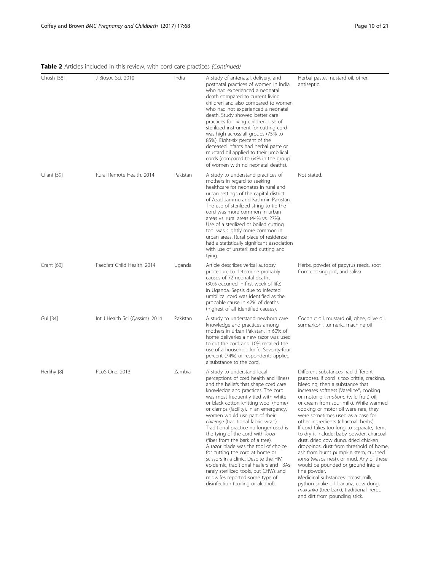| Ghosh [58]  | J Biosoc Sci. 2010              | India    | A study of antenatal, delivery, and<br>postnatal practices of women in India<br>who had experienced a neonatal<br>death compared to current living<br>children and also compared to women<br>who had not experienced a neonatal<br>death. Study showed better care<br>practices for living children. Use of<br>sterilized instrument for cutting cord<br>was high across all groups (75% to<br>85%). Eight-six percent of the<br>deceased infants had herbal paste or<br>mustard oil applied to their umbilical<br>cords (compared to 64% in the group<br>of women with no neonatal deaths).                                                                                                                                                         | Herbal paste, mustard oil, other,<br>antiseptic.                                                                                                                                                                                                                                                                                                                                                                                                                                                                                                                                                                                                                                                                                                                                                                                                    |
|-------------|---------------------------------|----------|------------------------------------------------------------------------------------------------------------------------------------------------------------------------------------------------------------------------------------------------------------------------------------------------------------------------------------------------------------------------------------------------------------------------------------------------------------------------------------------------------------------------------------------------------------------------------------------------------------------------------------------------------------------------------------------------------------------------------------------------------|-----------------------------------------------------------------------------------------------------------------------------------------------------------------------------------------------------------------------------------------------------------------------------------------------------------------------------------------------------------------------------------------------------------------------------------------------------------------------------------------------------------------------------------------------------------------------------------------------------------------------------------------------------------------------------------------------------------------------------------------------------------------------------------------------------------------------------------------------------|
| Gilani [59] | Rural Remote Health, 2014       | Pakistan | A study to understand practices of<br>mothers in regard to seeking<br>healthcare for neonates in rural and<br>urban settings of the capital district<br>of Azad Jammu and Kashmir, Pakistan.<br>The use of sterilized string to tie the<br>cord was more common in urban<br>areas vs. rural areas (44% vs. 27%).<br>Use of a sterilized or boiled cutting<br>tool was slightly more common in<br>urban areas. Rural place of residence<br>had a statistically significant association<br>with use of unsterilized cutting and<br>tying.                                                                                                                                                                                                              | Not stated.                                                                                                                                                                                                                                                                                                                                                                                                                                                                                                                                                                                                                                                                                                                                                                                                                                         |
| Grant [60]  | Paediatr Child Health. 2014     | Uganda   | Article describes verbal autopsy<br>procedure to determine probably<br>causes of 72 neonatal deaths<br>(30% occurred in first week of life)<br>in Uganda. Sepsis due to infected<br>umbilical cord was identified as the<br>probable cause in 42% of deaths<br>(highest of all identified causes).                                                                                                                                                                                                                                                                                                                                                                                                                                                   | Herbs, powder of papyrus reeds, soot<br>from cooking pot, and saliva.                                                                                                                                                                                                                                                                                                                                                                                                                                                                                                                                                                                                                                                                                                                                                                               |
| Gul [34]    | Int J Health Sci (Qassim). 2014 | Pakistan | A study to understand newborn care<br>knowledge and practices among<br>mothers in urban Pakistan. In 60% of<br>home deliveries a new razor was used<br>to cut the cord and 10% recalled the<br>use of a household knife. Seventy-four<br>percent (74%) or respondents applied<br>a substance to the cord.                                                                                                                                                                                                                                                                                                                                                                                                                                            | Coconut oil, mustard oil, ghee, olive oil,<br>surma/kohl, turmeric, machine oil                                                                                                                                                                                                                                                                                                                                                                                                                                                                                                                                                                                                                                                                                                                                                                     |
| Herlihy [8] | PLoS One. 2013                  | Zambia   | A study to understand local<br>perceptions of cord health and illness<br>and the beliefs that shape cord care<br>knowledge and practices. The cord<br>was most frequently tied with white<br>or black cotton knitting wool (home)<br>or clamps (facility). In an emergency,<br>women would use part of their<br>chitenge (traditional fabric wrap).<br>Traditional practice no longer used is<br>the tying of the cord with loozi<br>(fiber from the bark of a tree).<br>A razor blade was the tool of choice<br>for cutting the cord at home or<br>scissors in a clinic. Despite the HIV<br>epidemic, traditional healers and TBAs<br>rarely sterilized tools, but CHWs and<br>midwifes reported some type of<br>disinfection (boiling or alcohol). | Different substances had different<br>purposes. If cord is too brittle, cracking,<br>bleeding, then a substance that<br>increases softness (Vaseline®, cooking<br>or motor oil, mabono (wild fruit) oil,<br>or cream from sour milk). While warmed<br>cooking or motor oil were rare, they<br>were sometimes used as a base for<br>other ingredients (charcoal, herbs).<br>If cord takes too long to separate, items<br>to dry it include: baby powder, charcoal<br>dust, dried cow dung, dried chicken<br>droppings, dust from threshold of home,<br>ash from burnt pumpkin stem, crushed<br>loma (wasps nest), or mud. Any of these<br>would be pounded or ground into a<br>fine powder.<br>Medicinal substances: breast milk,<br>python snake oil, banana, cow dung,<br>mukunku (tree bark), traditional herbs,<br>and dirt from pounding stick. |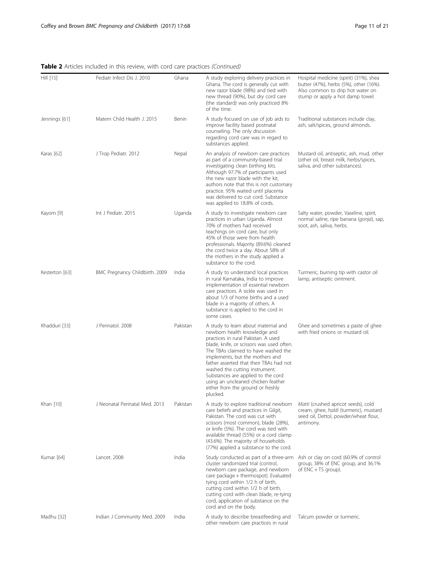Table 2 Articles included in this review, with cord care practices (Continued)

| Hill [15]      | Pediatr Infect Dis J. 2010     | Ghana    | A study exploring delivery practices in<br>Ghana. The cord is generally cut with<br>new razor blade (98%) and tied with<br>new thread (90%), but dry cord care<br>(the standard) was only practiced 8%<br>of the time.                                                                                                                                                                                                                      | Hospital medicine (spirit) (31%), shea<br>butter (47%), herbs (5%), other (16%).<br>Also common to drip hot water on<br>stump or apply a hot damp towel. |
|----------------|--------------------------------|----------|---------------------------------------------------------------------------------------------------------------------------------------------------------------------------------------------------------------------------------------------------------------------------------------------------------------------------------------------------------------------------------------------------------------------------------------------|----------------------------------------------------------------------------------------------------------------------------------------------------------|
| Jennings [61]  | Matern Child Health J. 2015    | Benin    | A study focused on use of job aids to<br>improve facility based postnatal<br>counseling. The only discussion<br>regarding cord care was in regard to<br>substances applied.                                                                                                                                                                                                                                                                 | Traditional substances include clay,<br>ash, salt/spices, ground almonds.                                                                                |
| Karas [62]     | J Trop Pediatr. 2012           | Nepal    | An analysis of newborn care practices<br>as part of a community-based trial<br>investigating clean birthing kits.<br>Although 97.7% of participants used<br>the new razor blade with the kit,<br>authors note that this is not customary<br>practice. 95% waited until placenta<br>was delivered to cut cord. Substance<br>was applied to 18.8% of cords.                                                                                   | Mustard oil, antiseptic, ash, mud, other<br>(other oil, breast milk, herbs/spices,<br>saliva, and other substances).                                     |
| Kayom [9]      | Int J Pediatr. 2015            | Uganda   | A study to investigate newborn care<br>practices in urban Uganda. Almost<br>70% of mothers had received<br>teachings on cord care, but only<br>45% of those were from health<br>professionals. Majority (89.6%) cleaned<br>the cord twice a day. About 58% of<br>the mothers in the study applied a<br>substance to the cord.                                                                                                               | Salty water, powder, Vaseline, spirit,<br>normal saline, ripe banana (gonja), sap,<br>soot, ash, saliva, herbs.                                          |
| Kesterton [63] | BMC Pregnancy Childbirth. 2009 | India    | A study to understand local practices<br>in rural Karnataka, India to improve<br>implementation of essential newborn<br>care practices. A sickle was used in<br>about 1/3 of home births and a used<br>blade in a majority of others. A<br>substance is applied to the cord in<br>some cases.                                                                                                                                               | Turmeric, burning tip with castor oil<br>lamp, antiseptic ointment.                                                                                      |
| Khadduri [33]  | J Perinatol. 2008              | Pakistan | A study to learn about maternal and<br>newborn health knowledge and<br>practices in rural Pakistan. A used<br>blade, knife, or scissors was used often.<br>The TBAs claimed to have washed the<br>implements, but the mothers and<br>father asserted that their TBAs had not<br>washed the cutting instrument.<br>Substances are applied to the cord<br>using an uncleaned chicken feather<br>either from the ground or freshly<br>plucked. | Ghee and sometimes a paste of ghee<br>with fried onions or mustard oil.                                                                                  |
| Khan [10]      | J Neonatal Perinatal Med. 2013 | Pakistan | A study to explore traditional newborn<br>care beliefs and practices in Gilgit,<br>Pakistan. The cord was cut with<br>scissors (most common), blade (28%),<br>or knife (5%). The cord was tied with<br>available thread (55%) or a cord clamp<br>(43.6%). The majority of households<br>(77%) applied a substance to the cord.                                                                                                              | Matti (crushed apricot seeds), cold<br>cream, ghee, haldi (turmeric), mustard<br>seed oil, Dettol, powder/wheat flour,<br>antimony.                      |
| Kumar [64]     | Lancet, 2008                   | India    | Study conducted as part of a three-arm<br>cluster randomized trial (control,<br>newborn care package, and newborn<br>care package + thermospot). Evaluated<br>tying cord within 1/2 h of birth,<br>cutting cord within 1/2 h of birth,<br>cutting cord with clean blade, re-tying<br>cord, application of substance on the<br>cord and on the body.                                                                                         | Ash or clay on cord (60.9% of control<br>group, 38% of ENC group, and 36.1%<br>of ENC + TS group).                                                       |
| Madhu [32]     | Indian J Community Med. 2009   | India    | A study to describe breastfeeding and<br>other newborn care practices in rural                                                                                                                                                                                                                                                                                                                                                              | Talcum powder or turmeric.                                                                                                                               |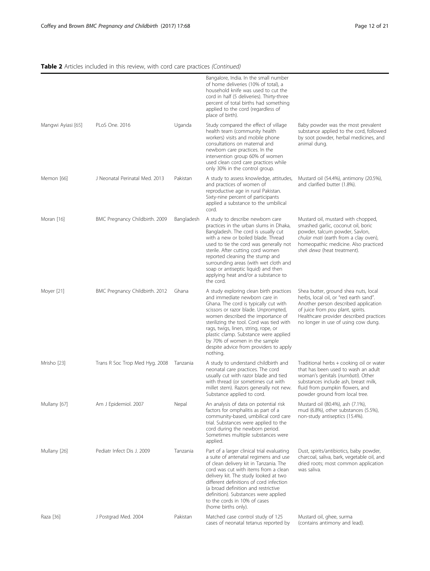|                    |                                |            | Bangalore, India. In the small number<br>of home deliveries (10% of total), a<br>household knife was used to cut the<br>cord in half (5 deliveries). Thirty-three<br>percent of total births had something<br>applied to the cord (regardless of<br>place of birth).                                                                                                                                               |                                                                                                                                                                                                                                               |
|--------------------|--------------------------------|------------|--------------------------------------------------------------------------------------------------------------------------------------------------------------------------------------------------------------------------------------------------------------------------------------------------------------------------------------------------------------------------------------------------------------------|-----------------------------------------------------------------------------------------------------------------------------------------------------------------------------------------------------------------------------------------------|
| Mangwi Ayiasi [65] | PLoS One. 2016                 | Uganda     | Study compared the effect of village<br>health team (community health<br>workers) visits and mobile phone<br>consultations on maternal and<br>newborn care practices. In the<br>intervention group 60% of women<br>used clean cord care practices while<br>only 30% in the control group.                                                                                                                          | Baby powder was the most prevalent<br>substance applied to the cord, followed<br>by soot powder, herbal medicines, and<br>animal dung.                                                                                                        |
| Memon [66]         | J Neonatal Perinatal Med. 2013 | Pakistan   | A study to assess knowledge, attitudes,<br>and practices of women of<br>reproductive age in rural Pakistan.<br>Sixty-nine percent of participants<br>applied a substance to the umbilical<br>cord.                                                                                                                                                                                                                 | Mustard oil (54.4%), antimony (20.5%),<br>and clarified butter (1.8%).                                                                                                                                                                        |
| Moran [16]         | BMC Pregnancy Childbirth. 2009 | Bangladesh | A study to describe newborn care<br>practices in the urban slums in Dhaka,<br>Bangladesh. The cord is usually cut<br>with a new or boiled blade. Thread<br>used to tie the cord was generally not<br>sterile. After cutting cord women<br>reported cleaning the stump and<br>surrounding areas (with wet cloth and<br>soap or antiseptic liquid) and then<br>applying heat and/or a substance to<br>the cord.      | Mustard oil, mustard with chopped,<br>smashed garlic, coconut oil, boric<br>powder, talcum powder, Savlon,<br>chular mati (earth from a clay oven),<br>homeopathic medicine. Also practiced<br>shek dewa (heat treatment).                    |
| Moyer [21]         | BMC Pregnancy Childbirth. 2012 | Ghana      | A study exploring clean birth practices<br>and immediate newborn care in<br>Ghana. The cord is typically cut with<br>scissors or razor blade. Unprompted,<br>women described the importance of<br>sterilizing the tool. Cord was tied with<br>rags, twigs, linen, string, rope, or<br>plastic clamp. Substance were applied<br>by 70% of women in the sample<br>despite advice from providers to apply<br>nothing. | Shea butter, ground shea nuts, local<br>herbs, local oil, or "red earth sand".<br>Another person described application<br>of juice from pou plant, spirits.<br>Healthcare provider described practices<br>no longer in use of using cow dung. |
| Mrisho [23]        | Trans R Soc Trop Med Hyg. 2008 | Tanzania   | A study to understand childbirth and<br>neonatal care practices. The cord<br>usually cut with razor blade and tied<br>with thread (or sometimes cut with<br>millet stem). Razors generally not new.<br>Substance applied to cord.                                                                                                                                                                                  | Traditional herbs + cooking oil or water<br>that has been used to wash an adult<br>woman's genitals (numbati). Other<br>substances include ash, breast milk,<br>fluid from pumpkin flowers, and<br>powder ground from local tree.             |
| Mullany [67]       | Am J Epidemiol. 2007           | Nepal      | An analysis of data on potential risk<br>factors for omphalitis as part of a<br>community-based, umbilical cord care<br>trial. Substances were applied to the<br>cord during the newborn period.<br>Sometimes multiple substances were<br>applied.                                                                                                                                                                 | Mustard oil (80.4%), ash (7.1%),<br>mud (6.8%), other substances (5.5%),<br>non-study antiseptics (15.4%).                                                                                                                                    |
| Mullany [26]       | Pediatr Infect Dis J. 2009     | Tanzania   | Part of a larger clinical trial evaluating<br>a suite of antenatal regimens and use<br>of clean delivery kit in Tanzania. The<br>cord was cut with items from a clean<br>delivery kit. The study looked at two<br>different definitions of cord infection<br>(a broad definition and restrictive<br>definition). Substances were applied<br>to the cords in 10% of cases<br>(home births only).                    | Dust, spirits/antibiotics, baby powder,<br>charcoal, saliva, bark, vegetable oil, and<br>dried roots; most common application<br>was saliva.                                                                                                  |
| Raza [36]          | J Postgrad Med. 2004           | Pakistan   | Matched case control study of 125<br>cases of neonatal tetanus reported by                                                                                                                                                                                                                                                                                                                                         | Mustard oil, ghee, surma<br>(contains antimony and lead).                                                                                                                                                                                     |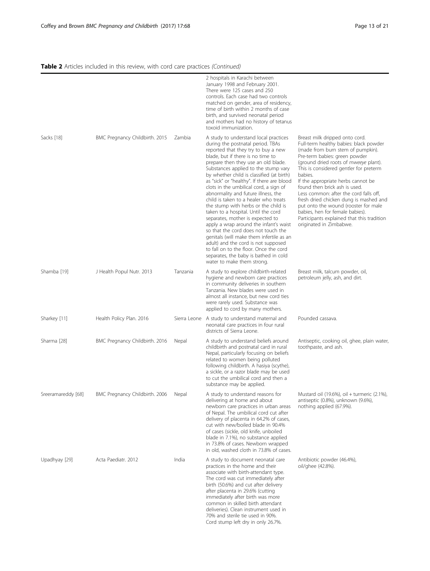|                    |                                |              | 2 hospitals in Karachi between<br>January 1998 and February 2001.<br>There were 125 cases and 250<br>controls. Each case had two controls<br>matched on gender, area of residency,<br>time of birth within 2 months of case<br>birth, and survived neonatal period<br>and mothers had no history of tetanus<br>toxoid immunization.                                                                                                                                                                                                                                                                                                                                                                                                                                                                                                                                |                                                                                                                                                                                                                                                                                                                                                                                                                                                                                                                                                             |
|--------------------|--------------------------------|--------------|--------------------------------------------------------------------------------------------------------------------------------------------------------------------------------------------------------------------------------------------------------------------------------------------------------------------------------------------------------------------------------------------------------------------------------------------------------------------------------------------------------------------------------------------------------------------------------------------------------------------------------------------------------------------------------------------------------------------------------------------------------------------------------------------------------------------------------------------------------------------|-------------------------------------------------------------------------------------------------------------------------------------------------------------------------------------------------------------------------------------------------------------------------------------------------------------------------------------------------------------------------------------------------------------------------------------------------------------------------------------------------------------------------------------------------------------|
| Sacks [18]         | BMC Pregnancy Childbirth. 2015 | Zambia       | A study to understand local practices<br>during the postnatal period. TBAs<br>reported that they try to buy a new<br>blade, but if there is no time to<br>prepare then they use an old blade.<br>Substances applied to the stump vary<br>by whether child is classified (at birth)<br>as "sick" or "healthy". If there are blood<br>clots in the umbilical cord, a sign of<br>abnormality and future illness, the<br>child is taken to a healer who treats<br>the stump with herbs or the child is<br>taken to a hospital. Until the cord<br>separates, mother is expected to<br>apply a wrap around the infant's waist<br>so that the cord does not touch the<br>genitals (will make them infertile as an<br>adult) and the cord is not supposed<br>to fall on to the floor. Once the cord<br>separates, the baby is bathed in cold<br>water to make them strong. | Breast milk dripped onto cord.<br>Full-term healthy babies: black powder<br>(made from burn stem of pumpkin).<br>Pre-term babies: green powder<br>(ground dried roots of mweeye plant).<br>This is considered gentler for preterm<br>babies.<br>If the appropriate herbs cannot be<br>found then brick ash is used.<br>Less common: after the cord falls off,<br>fresh dried chicken dung is mashed and<br>put onto the wound (rooster for male<br>babies, hen for female babies).<br>Participants explained that this tradition<br>originated in Zimbabwe. |
| Shamba [19]        | J Health Popul Nutr. 2013      | Tanzania     | A study to explore childbirth-related<br>hygiene and newborn care practices<br>in community deliveries in southern<br>Tanzania. New blades were used in<br>almost all instance, but new cord ties<br>were rarely used. Substance was<br>applied to cord by many mothers.                                                                                                                                                                                                                                                                                                                                                                                                                                                                                                                                                                                           | Breast milk, talcum powder, oil,<br>petroleum jelly, ash, and dirt.                                                                                                                                                                                                                                                                                                                                                                                                                                                                                         |
| Sharkey [11]       | Health Policy Plan. 2016       |              | Sierra Leone A study to understand maternal and<br>neonatal care practices in four rural<br>districts of Sierra Leone.                                                                                                                                                                                                                                                                                                                                                                                                                                                                                                                                                                                                                                                                                                                                             | Pounded cassava.                                                                                                                                                                                                                                                                                                                                                                                                                                                                                                                                            |
| Sharma [28]        | BMC Pregnancy Childbirth. 2016 | Nepal        | A study to understand beliefs around<br>childbirth and postnatal card in rural<br>Nepal, particularly focusing on beliefs<br>related to women being polluted<br>following childbirth. A hasiya (scythe),<br>a sickle, or a razor blade may be used<br>to cut the umbilical cord and then a<br>substance may be applied.                                                                                                                                                                                                                                                                                                                                                                                                                                                                                                                                            | Antiseptic, cooking oil, ghee, plain water,<br>toothpaste, and ash.                                                                                                                                                                                                                                                                                                                                                                                                                                                                                         |
| Sreeramareddy [68] | BMC Pregnancy Childbirth. 2006 | <b>Nepal</b> | A study to understand reasons for<br>delivering at home and about<br>newborn care practices in urban areas<br>of Nepal. The umbilical cord cut after<br>delivery of placenta in 64.2% of cases,<br>cut with new/boiled blade in 90.4%<br>of cases (sickle, old knife, unboiled<br>blade in 7.1%), no substance applied<br>in 73.8% of cases. Newborn wrapped<br>in old, washed cloth in 73.8% of cases.                                                                                                                                                                                                                                                                                                                                                                                                                                                            | Mustard oil (19.6%), oil + turmeric (2.1%),<br>antiseptic (0.8%), unknown (9.6%),<br>nothing applied (67.9%).                                                                                                                                                                                                                                                                                                                                                                                                                                               |
| Upadhyay [29]      | Acta Paediatr. 2012            | India        | A study to document neonatal care<br>practices in the home and their<br>associate with birth-attendant type.<br>The cord was cut immediately after<br>birth (50.6%) and cut after delivery<br>after placenta in 29.6% (cutting<br>immediately after birth was more<br>common in skilled birth attendant<br>deliveries). Clean instrument used in<br>70% and sterile tie used in 90%.<br>Cord stump left dry in only 26.7%.                                                                                                                                                                                                                                                                                                                                                                                                                                         | Antibiotic powder (46.4%),<br>oil/ghee (42.8%).                                                                                                                                                                                                                                                                                                                                                                                                                                                                                                             |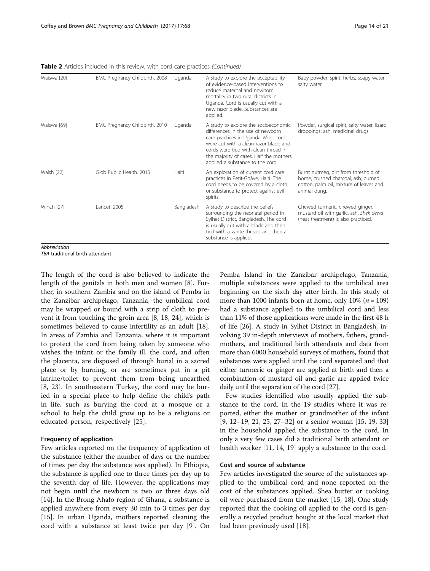Table 2 Articles included in this review, with cord care practices (Continued)

| Waiswa [20] | BMC Pregnancy Childbirth. 2008 | Uganda     | A study to explore the acceptability<br>of evidence-based interventions to<br>reduce maternal and newborn<br>mortality in two rural districts in<br>Uganda. Cord is usually cut with a<br>new razor blade. Substances are<br>applied.                                             | Baby powder, spirit, herbs, soapy water,<br>salty water.                                                                               |
|-------------|--------------------------------|------------|-----------------------------------------------------------------------------------------------------------------------------------------------------------------------------------------------------------------------------------------------------------------------------------|----------------------------------------------------------------------------------------------------------------------------------------|
| Waiswa [69] | BMC Pregnancy Childbirth. 2010 | Uganda     | A study to explore the socioeconomic<br>differences in the use of newborn<br>care practices in Uganda. Most cords<br>were cut with a clean razor blade and<br>cords were tied with clean thread in<br>the majority of cases. Half the mothers<br>applied a substance to the cord. | Powder, surgical spirit, salty water, lizard<br>droppings, ash, medicinal drugs.                                                       |
| Walsh [22]  | Glob Public Health, 2015       | Haiti      | An exploration of current cord care<br>practices in Petit-Goâve, Haiti. The<br>cord needs to be covered by a cloth<br>or substance to protect against evil<br>spirits.                                                                                                            | Burnt nutmeg, dirt from threshold of<br>home, crushed charcoal, ash, burned<br>cotton, palm oil, mixture of leaves and<br>animal dung. |
| Winch [27]  | Lancet, 2005                   | Bangladesh | A study to describe the beliefs<br>surrounding the neonatal period in<br>Sylhet District, Bangladesh. The cord<br>is usually cut with a blade and then<br>tied with a white thread, and then a<br>substance is applied.                                                           | Chewed turmeric, chewed ginger,<br>mustard oil with garlic, ash. Shek dewa<br>(heat treatment) is also practiced.                      |

Abbreviation

TBA traditional birth attendant

The length of the cord is also believed to indicate the length of the genitals in both men and women [\[8](#page-18-0)]. Further, in southern Zambia and on the island of Pemba in the Zanzibar archipelago, Tanzania, the umbilical cord may be wrapped or bound with a strip of cloth to prevent it from touching the groin area [[8,](#page-18-0) [18, 24\]](#page-19-0), which is sometimes believed to cause infertility as an adult [\[18](#page-19-0)]. In areas of Zambia and Tanzania, where it is important to protect the cord from being taken by someone who wishes the infant or the family ill, the cord, and often the placenta, are disposed of through burial in a sacred place or by burning, or are sometimes put in a pit latrine/toilet to prevent them from being unearthed [[8,](#page-18-0) [23](#page-19-0)]. In southeastern Turkey, the cord may be buried in a special place to help define the child's path in life, such as burying the cord at a mosque or a school to help the child grow up to be a religious or educated person, respectively [[25\]](#page-19-0).

## Frequency of application

Few articles reported on the frequency of application of the substance (either the number of days or the number of times per day the substance was applied). In Ethiopia, the substance is applied one to three times per day up to the seventh day of life. However, the applications may not begin until the newborn is two or three days old [[14\]](#page-19-0). In the Brong Ahafo region of Ghana, a substance is applied anywhere from every 30 min to 3 times per day [[15\]](#page-19-0). In urban Uganda, mothers reported cleaning the cord with a substance at least twice per day [\[9\]](#page-18-0). On

Pemba Island in the Zanzibar archipelago, Tanzania, multiple substances were applied to the umbilical area beginning on the sixth day after birth. In this study of more than 1000 infants born at home, only 10% ( $n = 109$ ) had a substance applied to the umbilical cord and less than 11% of those applications were made in the first 48 h of life [[26](#page-19-0)]. A study in Sylhet District in Bangladesh, involving 39 in-depth interviews of mothers, fathers, grandmothers, and traditional birth attendants and data from more than 6000 household surveys of mothers, found that substances were applied until the cord separated and that either turmeric or ginger are applied at birth and then a combination of mustard oil and garlic are applied twice daily until the separation of the cord [[27\]](#page-19-0).

Few studies identified who usually applied the substance to the cord. In the 19 studies where it was reported, either the mother or grandmother of the infant [[9,](#page-18-0) [12](#page-19-0)–[19, 21, 25](#page-19-0), [27](#page-19-0)–[32\]](#page-19-0) or a senior woman [\[15](#page-19-0), [19](#page-19-0), [33](#page-19-0)] in the household applied the substance to the cord. In only a very few cases did a traditional birth attendant or health worker [[11](#page-19-0), [14](#page-19-0), [19](#page-19-0)] apply a substance to the cord.

## Cost and source of substance

Few articles investigated the source of the substances applied to the umbilical cord and none reported on the cost of the substances applied. Shea butter or cooking oil were purchased from the market [[15](#page-19-0), [18\]](#page-19-0). One study reported that the cooking oil applied to the cord is generally a recycled product bought at the local market that had been previously used [\[18](#page-19-0)].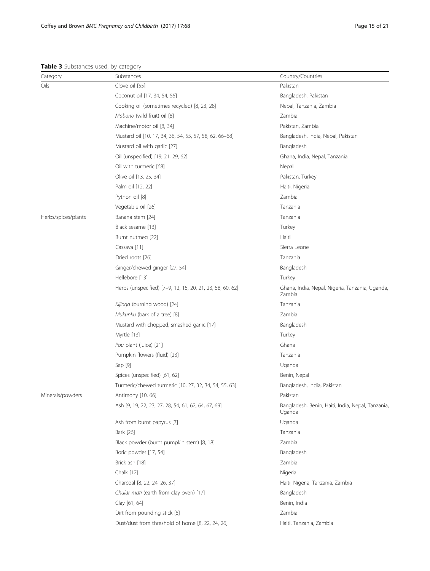#### <span id="page-14-0"></span>Table 3 Substances used, by category

| Category            | ╯<br>Substances                                           | Country/Countries                                           |
|---------------------|-----------------------------------------------------------|-------------------------------------------------------------|
| Oils                | Clove oil [55]                                            | Pakistan                                                    |
|                     | Coconut oil [17, 34, 54, 55]                              | Bangladesh, Pakistan                                        |
|                     | Cooking oil (sometimes recycled) [8, 23, 28]              | Nepal, Tanzania, Zambia                                     |
|                     | Mabono (wild fruit) oil [8]                               | Zambia                                                      |
|                     | Machine/motor oil [8, 34]                                 | Pakistan, Zambia                                            |
|                     | Mustard oil [10, 17, 34, 36, 54, 55, 57, 58, 62, 66-68]   | Bangladesh, India, Nepal, Pakistan                          |
|                     | Mustard oil with garlic [27]                              | Bangladesh                                                  |
|                     | Oil (unspecified) [19, 21, 29, 62]                        | Ghana, India, Nepal, Tanzania                               |
|                     | Oil with turmeric [68]                                    | Nepal                                                       |
|                     | Olive oil [13, 25, 34]                                    | Pakistan, Turkey                                            |
|                     | Palm oil [12, 22]                                         | Haiti, Nigeria                                              |
|                     | Python oil [8]                                            | Zambia                                                      |
|                     | Vegetable oil [26]                                        | Tanzania                                                    |
| Herbs/spices/plants | Banana stem [24]                                          | Tanzania                                                    |
|                     | Black sesame [13]                                         | Turkey                                                      |
|                     | Burnt nutmeg [22]                                         | Haiti                                                       |
|                     | Cassava [11]                                              | Sierra Leone                                                |
|                     | Dried roots [26]                                          | Tanzania                                                    |
|                     | Ginger/chewed ginger [27, 54]                             | Bangladesh                                                  |
|                     | Hellebore [13]                                            | Turkey                                                      |
|                     | Herbs (unspecified) [7-9, 12, 15, 20, 21, 23, 58, 60, 62] | Ghana, India, Nepal, Nigeria, Tanzania, Uganda,<br>Zambia   |
|                     | Kijinga (burning wood) [24]                               | Tanzania                                                    |
|                     | Mukunku (bark of a tree) [8]                              | Zambia                                                      |
|                     | Mustard with chopped, smashed garlic [17]                 | Bangladesh                                                  |
|                     | Myrtle [13]                                               | Turkey                                                      |
|                     | Pou plant (juice) [21]                                    | Ghana                                                       |
|                     | Pumpkin flowers (fluid) [23]                              | Tanzania                                                    |
|                     | Sap [9]                                                   | Uganda                                                      |
|                     | Spices (unspecified) [61, 62]                             | Benin, Nepal                                                |
|                     | Turmeric/chewed turmeric [10, 27, 32, 34, 54, 55, 63]     | Bangladesh, India, Pakistan                                 |
| Minerals/powders    | Antimony [10, 66]                                         | Pakistan                                                    |
|                     | Ash [9, 19, 22, 23, 27, 28, 54, 61, 62, 64, 67, 69]       | Bangladesh, Benin, Haiti, India, Nepal, Tanzania,<br>Uganda |
|                     | Ash from burnt papyrus [7]                                | Uganda                                                      |
|                     | Bark [26]                                                 | Tanzania                                                    |
|                     | Black powder (burnt pumpkin stem) [8, 18]                 | Zambia                                                      |
|                     | Boric powder [17, 54]                                     | Bangladesh                                                  |
|                     | Brick ash [18]                                            | Zambia                                                      |
|                     | Chalk [12]                                                | Nigeria                                                     |
|                     | Charcoal [8, 22, 24, 26, 37]                              | Haiti, Nigeria, Tanzania, Zambia                            |
|                     | Chular mati (earth from clay oven) [17]                   | Bangladesh                                                  |
|                     | Clay [61, 64]                                             | Benin, India                                                |
|                     | Dirt from pounding stick [8]                              | Zambia                                                      |
|                     | Dust/dust from threshold of home [8, 22, 24, 26]          | Haiti, Tanzania, Zambia                                     |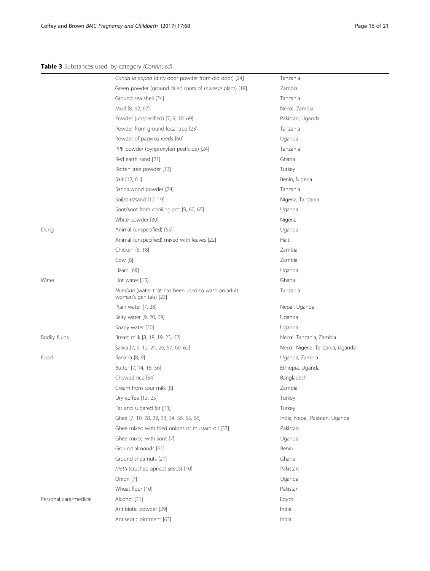## Table 3 Substances used, by category (Continued)

|                       | Ganda la popoo (dirty door powder from old door) [24]                        | Tanzania                         |
|-----------------------|------------------------------------------------------------------------------|----------------------------------|
|                       | Green powder (ground dried roots of mweeye plant) [18]                       | Zambia                           |
|                       | Ground sea shell [24]                                                        | Tanzania                         |
|                       | Mud [8, 62, 67]                                                              | Nepal, Zambia                    |
|                       | Powder (unspecified) [7, 9, 10, 69]                                          | Pakistan, Uganda                 |
|                       | Powder from ground local tree [23]                                           | Tanzania                         |
|                       | Powder of papyrus reeds [60]                                                 | Uganda                           |
|                       | PPF powder (pyriproxyfen pesticide) [24]                                     | Tanzania                         |
|                       | Red earth sand [21]                                                          | Ghana                            |
|                       | Rotten tree powder [13]                                                      | Turkey                           |
|                       | Salt [12, 61]                                                                | Benin, Nigeria                   |
|                       | Sandalwood powder [24]                                                       | Tanzania                         |
|                       | Soil/dirt/sand [12, 19]                                                      | Nigeria, Tanzania                |
|                       | Soot/soot from cooking pot [9, 60, 65]                                       | Uganda                           |
|                       | White powder [30]                                                            | Nigeria                          |
| Dung                  | Animal (unspecified) [65]                                                    | Uganda                           |
|                       | Animal (unspecified) mixed with leaves [22]                                  | Haiti                            |
|                       | Chicken [8, 18]                                                              | Zambia                           |
|                       | Cow [8]                                                                      | Zambia                           |
|                       | Lizard [69]                                                                  | Uganda                           |
| Water                 | Hot water [15]                                                               | Ghana                            |
|                       | Numbati (water that has been used to wash an adult<br>woman's genitals) [23] | Tanzania                         |
|                       | Plain water [7, 28]                                                          | Nepal, Uganda                    |
|                       | Salty water [9, 20, 69]                                                      | Uganda                           |
|                       | Soapy water [20]                                                             | Uganda                           |
| <b>Bodily fluids</b>  | Breast milk [8, 18, 19, 23, 62]                                              | Nepal, Tanzania, Zambia          |
|                       | Saliva [7, 9, 12, 24, 26, 57, 60, 62]                                        | Nepal, Nigeria, Tanzania, Uganda |
| Food                  | Banana [8, 9]                                                                | Uganda, Zambia                   |
|                       | Butter [7, 14, 16, 56]                                                       | Ethiopia, Uganda                 |
|                       | Chewed rice [54]                                                             | Bangladesh                       |
|                       | Cream from sour milk [8]                                                     | Zambia                           |
|                       | Dry coffee [13, 25]                                                          | Turkey                           |
|                       | Fat and sugared fat [13]                                                     | Turkey                           |
|                       | Ghee [7, 10, 28, 29, 33, 34, 36, 55, 66]                                     | India, Nepal, Pakistan, Uganda   |
|                       | Ghee mixed with fried onions or mustard oil [33]                             | Pakistan                         |
|                       | Ghee mixed with soot [7]                                                     | Uganda                           |
|                       | Ground almonds [61]                                                          | Benin                            |
|                       | Ground shea nuts [21]                                                        | Ghana                            |
|                       | Matti (crushed apricot seeds) [10]                                           | Pakistan                         |
|                       | Onion [7]                                                                    | Uganda                           |
|                       | Wheat flour [10]                                                             | Pakistan                         |
| Personal care/medical | Alcohol [31]                                                                 | Egypt                            |
|                       | Antibiotic powder [29]                                                       | India                            |
|                       | Antiseptic ointment [63]                                                     | India                            |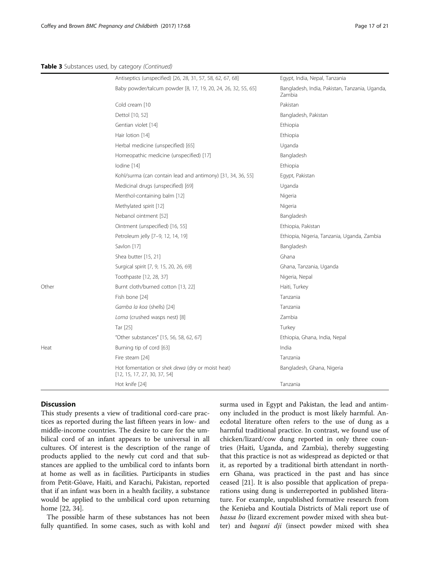|       | Antiseptics (unspecified) [26, 28, 31, 57, 58, 62, 67, 68]                       | Egypt, India, Nepal, Tanzania                            |
|-------|----------------------------------------------------------------------------------|----------------------------------------------------------|
|       | Baby powder/talcum powder [8, 17, 19, 20, 24, 26, 32, 55, 65]                    | Bangladesh, India, Pakistan, Tanzania, Uganda,<br>Zambia |
|       | Cold cream [10                                                                   | Pakistan                                                 |
|       | Dettol [10, 52]                                                                  | Bangladesh, Pakistan                                     |
|       | Gentian violet [14]                                                              | Ethiopia                                                 |
|       | Hair lotion [14]                                                                 | Ethiopia                                                 |
|       | Herbal medicine (unspecified) [65]                                               | Uganda                                                   |
|       | Homeopathic medicine (unspecified) [17]                                          | Bangladesh                                               |
|       | lodine [14]                                                                      | Ethiopia                                                 |
|       | Kohl/surma (can contain lead and antimony) [31, 34, 36, 55]                      | Egypt, Pakistan                                          |
|       | Medicinal drugs (unspecified) [69]                                               | Uganda                                                   |
|       | Menthol-containing balm [12]                                                     | Nigeria                                                  |
|       | Methylated spirit [12]                                                           | Nigeria                                                  |
|       | Nebanol ointment [52]                                                            | Bangladesh                                               |
|       | Ointment (unspecified) [16, 55]                                                  | Ethiopia, Pakistan                                       |
|       | Petroleum jelly [7-9, 12, 14, 19]                                                | Ethiopia, Nigeria, Tanzania, Uganda, Zambia              |
|       | Savlon [17]                                                                      | Bangladesh                                               |
|       | Shea butter [15, 21]                                                             | Ghana                                                    |
|       | Surgical spirit [7, 9, 15, 20, 26, 69]                                           | Ghana, Tanzania, Uganda                                  |
|       | Toothpaste [12, 28, 37]                                                          | Nigeria, Nepal                                           |
| Other | Burnt cloth/burned cotton [13, 22]                                               | Haiti, Turkey                                            |
|       | Fish bone [24]                                                                   | Tanzania                                                 |
|       | Gamba la koa (shells) [24]                                                       | Tanzania                                                 |
|       | Loma (crushed wasps nest) [8]                                                    | Zambia                                                   |
|       | Tar [25]                                                                         | Turkey                                                   |
|       | "Other substances" [15, 56, 58, 62, 67]                                          | Ethiopia, Ghana, India, Nepal                            |
| Heat  | Burning tip of cord [63]                                                         | India                                                    |
|       | Fire steam [24]                                                                  | Tanzania                                                 |
|       | Hot fomentation or shek dewa (dry or moist heat)<br>[12, 15, 17, 27, 30, 37, 54] | Bangladesh, Ghana, Nigeria                               |
|       | Hot knife [24]                                                                   | Tanzania                                                 |
|       |                                                                                  |                                                          |

## **Discussion**

This study presents a view of traditional cord-care practices as reported during the last fifteen years in low- and middle-income countries. The desire to care for the umbilical cord of an infant appears to be universal in all cultures. Of interest is the description of the range of products applied to the newly cut cord and that substances are applied to the umbilical cord to infants born at home as well as in facilities. Participants in studies from Petit-Gôave, Haiti, and Karachi, Pakistan, reported that if an infant was born in a health facility, a substance would be applied to the umbilical cord upon returning home [[22, 34\]](#page-19-0).

The possible harm of these substances has not been fully quantified. In some cases, such as with kohl and surma used in Egypt and Pakistan, the lead and antimony included in the product is most likely harmful. Anecdotal literature often refers to the use of dung as a harmful traditional practice. In contrast, we found use of chicken/lizard/cow dung reported in only three countries (Haiti, Uganda, and Zambia), thereby suggesting that this practice is not as widespread as depicted or that it, as reported by a traditional birth attendant in northern Ghana, was practiced in the past and has since ceased [\[21\]](#page-19-0). It is also possible that application of preparations using dung is underreported in published literature. For example, unpublished formative research from the Kenieba and Koutiala Districts of Mali report use of bassa bo (lizard excrement powder mixed with shea butter) and bagani dji (insect powder mixed with shea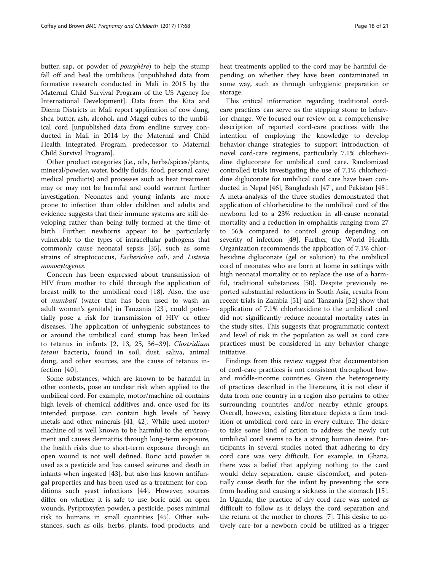butter, sap, or powder of pourghère) to help the stump fall off and heal the umbilicus [unpublished data from formative research conducted in Mali in 2015 by the Maternal Child Survival Program of the US Agency for International Development]. Data from the Kita and Diema Districts in Mali report application of cow dung, shea butter, ash, alcohol, and Maggi cubes to the umbilical cord [unpublished data from endline survey conducted in Mali in 2014 by the Maternal and Child Health Integrated Program, predecessor to Maternal Child Survival Program].

Other product categories (i.e., oils, herbs/spices/plants, mineral/powder, water, bodily fluids, food, personal care/ medical products) and processes such as heat treatment may or may not be harmful and could warrant further investigation. Neonates and young infants are more prone to infection than older children and adults and evidence suggests that their immune systems are still developing rather than being fully formed at the time of birth. Further, newborns appear to be particularly vulnerable to the types of intracellular pathogens that commonly cause neonatal sepsis [\[35](#page-19-0)], such as some strains of streptococcus, Escherichia coli, and Listeria monocytogenes.

Concern has been expressed about transmission of HIV from mother to child through the application of breast milk to the umbilical cord [\[18](#page-19-0)]. Also, the use of numbati (water that has been used to wash an adult woman's genitals) in Tanzania [[23\]](#page-19-0), could potentially pose a risk for transmission of HIV or other diseases. The application of unhygienic substances to or around the umbilical cord stump has been linked to tetanus in infants [[2,](#page-18-0) [13](#page-19-0), [25, 36](#page-19-0)–[39](#page-19-0)]. Clostridium tetani bacteria, found in soil, dust, saliva, animal dung, and other sources, are the cause of tetanus infection [[40\]](#page-19-0).

Some substances, which are known to be harmful in other contexts, pose an unclear risk when applied to the umbilical cord. For example, motor/machine oil contains high levels of chemical additives and, once used for its intended purpose, can contain high levels of heavy metals and other minerals [[41](#page-19-0), [42\]](#page-19-0). While used motor/ machine oil is well known to be harmful to the environment and causes dermatitis through long-term exposure, the health risks due to short-term exposure through an open wound is not well defined. Boric acid powder is used as a pesticide and has caused seizures and death in infants when ingested [[43\]](#page-19-0), but also has known antifungal properties and has been used as a treatment for conditions such yeast infections [\[44](#page-19-0)]. However, sources differ on whether it is safe to use boric acid on open wounds. Pyriproxyfen powder, a pesticide, poses minimal risk to humans in small quantities [\[45](#page-19-0)]. Other substances, such as oils, herbs, plants, food products, and heat treatments applied to the cord may be harmful depending on whether they have been contaminated in some way, such as through unhygienic preparation or storage.

This critical information regarding traditional cordcare practices can serve as the stepping stone to behavior change. We focused our review on a comprehensive description of reported cord-care practices with the intention of employing the knowledge to develop behavior-change strategies to support introduction of novel cord-care regimens, particularly 7.1% chlorhexidine digluconate for umbilical cord care. Randomized controlled trials investigating the use of 7.1% chlorhexidine digluconate for umbilical cord care have been conducted in Nepal [[46](#page-19-0)], Bangladesh [[47\]](#page-19-0), and Pakistan [\[48](#page-19-0)]. A meta-analysis of the three studies demonstrated that application of chlorhexidine to the umbilical cord of the newborn led to a 23% reduction in all-cause neonatal mortality and a reduction in omphalitis ranging from 27 to 56% compared to control group depending on severity of infection [[49\]](#page-19-0). Further, the World Health Organization recommends the application of 7.1% chlorhexidine digluconate (gel or solution) to the umbilical cord of neonates who are born at home in settings with high neonatal mortality or to replace the use of a harmful, traditional substances [\[50\]](#page-19-0). Despite previously reported substantial reductions in South Asia, results from recent trials in Zambia [\[51\]](#page-19-0) and Tanzania [\[52](#page-19-0)] show that application of 7.1% chlorhexidine to the umbilical cord did not significantly reduce neonatal mortality rates in the study sites. This suggests that programmatic context and level of risk in the population as well as cord care practices must be considered in any behavior change initiative.

Findings from this review suggest that documentation of cord-care practices is not consistent throughout lowand middle-income countries. Given the heterogeneity of practices described in the literature, it is not clear if data from one country in a region also pertains to other surrounding countries and/or nearby ethnic groups. Overall, however, existing literature depicts a firm tradition of umbilical cord care in every culture. The desire to take some kind of action to address the newly cut umbilical cord seems to be a strong human desire. Participants in several studies noted that adhering to dry cord care was very difficult. For example, in Ghana, there was a belief that applying nothing to the cord would delay separation, cause discomfort, and potentially cause death for the infant by preventing the sore from healing and causing a sickness in the stomach [\[15](#page-19-0)]. In Uganda, the practice of dry cord care was noted as difficult to follow as it delays the cord separation and the return of the mother to chores [\[7](#page-18-0)]. This desire to actively care for a newborn could be utilized as a trigger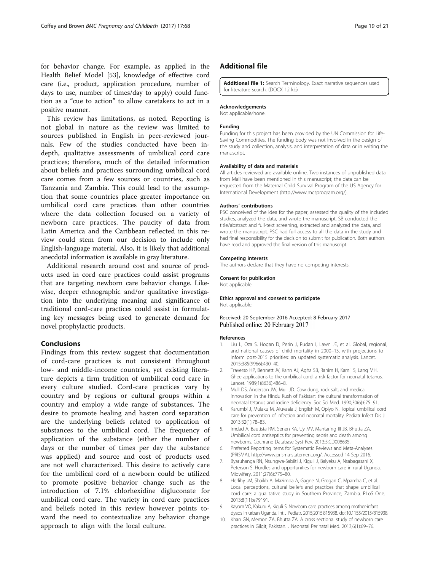<span id="page-18-0"></span>for behavior change. For example, as applied in the Health Belief Model [\[53](#page-19-0)], knowledge of effective cord care (i.e., product, application procedure, number of days to use, number of times/day to apply) could function as a "cue to action" to allow caretakers to act in a positive manner.

This review has limitations, as noted. Reporting is not global in nature as the review was limited to sources published in English in peer-reviewed journals. Few of the studies conducted have been indepth, qualitative assessments of umbilical cord care practices; therefore, much of the detailed information about beliefs and practices surrounding umbilical cord care comes from a few sources or countries, such as Tanzania and Zambia. This could lead to the assumption that some countries place greater importance on umbilical cord care practices than other countries where the data collection focused on a variety of newborn care practices. The paucity of data from Latin America and the Caribbean reflected in this review could stem from our decision to include only English-language material. Also, it is likely that additional anecdotal information is available in gray literature.

Additional research around cost and source of products used in cord care practices could assist programs that are targeting newborn care behavior change. Likewise, deeper ethnographic and/or qualitative investigation into the underlying meaning and significance of traditional cord-care practices could assist in formulating key messages being used to generate demand for novel prophylactic products.

# Conclusions

Findings from this review suggest that documentation of cord-care practices is not consistent throughout low- and middle-income countries, yet existing literature depicts a firm tradition of umbilical cord care in every culture studied. Cord-care practices vary by country and by regions or cultural groups within a country and employ a wide range of substances. The desire to promote healing and hasten cord separation are the underlying beliefs related to application of substances to the umbilical cord. The frequency of application of the substance (either the number of days or the number of times per day the substance was applied) and source and cost of products used are not well characterized. This desire to actively care for the umbilical cord of a newborn could be utilized to promote positive behavior change such as the introduction of 7.1% chlorhexidine digluconate for umbilical cord care. The variety in cord care practices and beliefs noted in this review however points toward the need to contextualize any behavior change approach to align with the local culture.

## Additional file

[Additional file 1:](dx.doi.org/10.1186/s12884-017-1250-7) Search Terminology. Exact narrative sequences used for literature search. (DOCX 12 kb)

#### Acknowledgements

Not applicable/none.

### Funding

Funding for this project has been provided by the UN Commission for Life-Saving Commodities. The funding body was not involved in the design of the study and collection, analysis, and interpretation of data or in writing the manuscript.

#### Availability of data and materials

All articles reviewed are available online. Two instances of unpublished data from Mali have been mentioned in this manuscript; the data can be requested from the Maternal Child Survival Program of the US Agency for International Development (<http://www.mcsprogram.org/>).

#### Authors' contributions

PSC conceived of the idea for the paper, assessed the quality of the included studies, analyzed the data, and wrote the manuscript. SB conducted the title/abstract and full-text screening, extracted and analyzed the data, and wrote the manuscript. PSC had full access to all the data in the study and had final responsibility for the decision to submit for publication. Both authors have read and approved the final version of this manuscript.

#### Competing interests

The authors declare that they have no competing interests.

#### Consent for publication

Not applicable.

#### Ethics approval and consent to participate Not applicable.

#### Received: 20 September 2016 Accepted: 8 February 2017 Published online: 20 February 2017

#### References

- 1. Liu L, Oza S, Hogan D, Perin J, Rudan I, Lawn JE, et al. Global, regional, and national causes of child mortality in 2000–13, with projections to inform post-2015 priorities: an updated systematic analysis. Lancet. 2015;385(9966):430–40.
- 2. Traverso HP, Bennett JV, Kahn AJ, Agha SB, Rahim H, Kamil S, Lang MH. Ghee applications to the umbilical cord: a risk factor for neonatal tetanus. Lancet. 1989;1(8636):486–8.
- 3. Mull DS, Anderson JW, Mull JD. Cow dung, rock salt, and medical innovation in the Hindu Kush of Pakistan: the cultural transformation of neonatal tetanus and iodine deficiency. Soc Sci Med. 1990;30(6):675–91.
- Karumbi J, Mulaku M, Aluvaala J, English M, Opiyo N. Topical umbilical cord care for prevention of infection and neonatal mortality. Pediatr Infect Dis J. 2013;32(1):78–83.
- 5. Imdad A, Bautista RM, Senen KA, Uy MV, Mantaring III JB, Bhutta ZA. Umbilical cord antiseptics for preventing sepsis and death among newborns. Cochrane Database Syst Rev. 2013;5:CD008635.
- 6. Preferred Reporting Items for Systematic Reviews and Meta-Analyses (PRISMA). [http://www.prisma-statement.org/.](http://www.prisma-statement.org/) Accessed 14 Sep 2016.
- 7. Byaruhanga RN, Nsungwa-Sabiiti J, Kiguli J, Balyeku A, Nsabagasani X, Peterson S. Hurdles and opportunities for newborn care in rural Uganda. Midwifery. 2011;27(6):775–80.
- 8. Herlihy JM, Shaikh A, Mazimba A, Gagne N, Grogan C, Mpamba C, et al. Local perceptions, cultural beliefs and practices that shape umbilical cord care: a qualitative study in Southern Province, Zambia. PLoS One. 2013;8(11):e79191.
- 9. Kayom VO, Kakuru A, Kiguli S. Newborn care practices among mother-infant dyads in urban Uganda. Int J Pediatr. 2015;2015:815938. doi:[10.1155/2015/815938.](http://dx.doi.org/10.1155/2015/815938)
- 10. Khan GN, Memon ZA, Bhutta ZA. A cross sectional study of newborn care practices in Gilgit, Pakistan. J Neonatal Perinatal Med. 2013;6(1):69–76.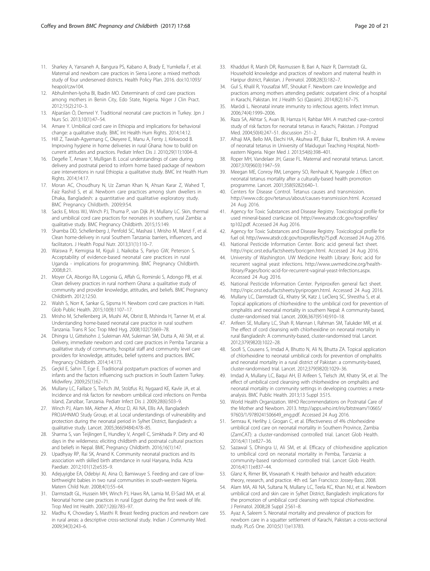- <span id="page-19-0"></span>11. Sharkey A, Yansaneh A, Bangura PS, Kabano A, Brady E, Yumkella F, et al. Maternal and newborn care practices in Sierra Leone: a mixed methods study of four underserved districts. Health Policy Plan. 2016. doi:[10.1093/](http://dx.doi.org/10.1093/heapol/czw104) [heapol/czw104.](http://dx.doi.org/10.1093/heapol/czw104)
- 12. Abhulimhen-Iyoha BI, Ibadin MO. Determinants of cord care practices among mothers in Benin City, Edo State, Nigeria. Niger J Clin Pract. 2012;15(2):210–3.
- 13. Alparslan Ö, Demirel Y. Traditional neonatal care practices in Turkey. Jpn J Nurs Sci. 2013;10(1):47–54.
- 14. Amare Y. Umbilical cord care in Ethiopia and implications for behavioral change: a qualitative study. BMC Int Health Hum Rights. 2014;14:12.
- 15. Hill Z, Tawiah-Agyemang C, Okeyere E, Manu A, Fenty J, Kirkwood B. Improving hygiene in home deliveries in rural Ghana: how to build on current attitudes and practices. Pediatr Infect Dis J. 2010;29(11):1004–8.
- 16. Degefie T, Amare Y, Mulligan B. Local understandings of care during delivery and postnatal period to inform home based package of newborn care interventions in rural Ethiopia: a qualitative study. BMC Int Health Hum Rights. 2014;14:17.
- 17. Moran AC, Choudhury N, Uz Zaman Khan N, Ahsan Karar Z, Wahed T, Faiz Rashid S, et al. Newborn care practices among slum dwellers in Dhaka, Bangladesh: a quantitative and qualitative exploratory study. BMC Pregnancy Childbirth. 2009;9:54.
- 18. Sacks E, Moss WJ, Winch PJ, Thuma P, van Dijk JH, Mullany LC. Skin, thermal and umbilical cord care practices for neonates in southern, rural Zambia: a qualitative study. BMC Pregnancy Childbirth. 2015;15:149.
- 19. Shamba DD, Schellenberg J, Penfold SC, Mashasi I, Mrisho M, Manzi F, et al. Clean home-delivery in rural Southern Tanzania: barriers, influencers, and facilitators. J Health Popul Nutr. 2013;31(1):110–7.
- 20. Waiswa P, Kemigisa M, Kiguli J, Naikoba S, Pariyo GW, Peterson S. Acceptability of evidence-based neonatal care practices in rural Uganda - implications for programming. BMC Pregnancy Childbirth. 2008;8:21.
- 21. Moyer CA, Aborigo RA, Logonia G, Affah G, Rominski S, Adongo PB, et al. Clean delivery practices in rural northern Ghana: a qualitative study of community and provider knowledge, attitudes, and beliefs. BMC Pregnancy Childbirth. 2012;12:50.
- 22. Walsh S, Norr K, Sankar G, Sipsma H. Newborn cord care practices in Haiti. Glob Public Health. 2015;10(9):1107–17.
- 23. Mrisho M, Schellenberg JA, Mushi AK, Obrist B, Mshinda H, Tanner M, et al. Understanding home-based neonatal care practice in rural southern Tanzania. Trans R Soc Trop Med Hyg. 2008;102(7):669–78.
- 24. Dhingra U, Gittelsohn J, Suleiman AM, Suleiman SM, Dutta A, Ali SM, et al. Delivery, immediate newborn and cord care practices in Pemba Tanzania: a qualitative study of community, hospital staff and community level care providers for knowledge, attitudes, belief systems and practices. BMC Pregnancy Childbirth. 2014;14:173.
- 25. Geçkil E, Sahin T, Ege E. Traditional postpartum practices of women and infants and the factors influencing such practices in South Eastern Turkey. Midwifery. 2009;25(1):62–71.
- 26. Mullany LC, Faillace S, Tielsch JM, Stolzfus RJ, Nygaard KE, Kavle JA, et al. Incidence and risk factors for newborn umbilical cord infections on Pemba Island, Zanzibar, Tanzania. Pediatr Infect Dis J. 2009;28(6):503–9.
- 27. Winch PJ, Alam MA, Akther A, Afroz D, Ali NA, Ellis AA, Bangladesh PROJAHNMO Study Group, et al. Local understandings of vulnerability and protection during the neonatal period in Sylhet District, Bangladesh: a qualitative study. Lancet. 2005;366(9484):478–85.
- 28. Sharma S, van Teijlingen E, Hundley V, Angell C, Simkhada P. Dirty and 40 days in the wilderness: eliciting childbirth and postnatal cultural practices and beliefs in Nepal. BMC Pregnancy Childbirth. 2016;16(1):147.
- 29. Upadhyay RP, Rai SK, Anand K. Community neonatal practices and its association with skilled birth attendance in rural Haryana, India. Acta Paediatr. 2012;101(12):e535–9.
- 30. Adejuyigbe EA, Odebiyi AI, Aina O, Bamiwuye S. Feeding and care of lowbirthweight babies in two rural communities in south-western Nigeria. Matern Child Nutr. 2008;4(1):55–64.
- 31. Darmstadt GL, Hussein MH, Winch PJ, Haws RA, Lamia M, El-Said MA, et al. Neonatal home care practices in rural Egypt during the first week of life. Trop Med Int Health. 2007;12(6):783–97.
- 32. Madhu K, Chowdary S, Masthi R. Breast feeding practices and newborn care in rural areas: a descriptive cross-sectional study. Indian J Community Med. 2009;34(3):243–6.
- 33. Khadduri R, Marsh DR, Rasmussen B, Bari A, Nazir R, Darmstadt GL. Household knowledge and practices of newborn and maternal health in Haripur district, Pakistan. J Perinatol. 2008;28(3):182–7.
- 34. Gul S, Khalil R, Yousafzai MT, Shoukat F. Newborn care knowledge and practices among mothers attending pediatric outpatient clinic of a hospital in Karachi, Pakistan. Int J Health Sci (Qassim). 2014;8(2):167–75.
- 35. Maródi L. Neonatal innate immunity to infectious agents. Infect Immun. 2006;74(4):1999–2006.
- 36. Raza SA, Akhtar S, Avan BI, Hamza H, Rahbar MH. A matched case–control study of risk factors for neonatal tetanus in Karachi, Pakistan. J Postgrad Med. 2004;50(4):247–51. discussion 251–2.
- 37. Alhaji MA, Bello MA, Elechi HA, Akuhwa RT, Bukar FL, Ibrahim HA. A review of neonatal tetanus in University of Maiduguri Teaching Hospital, Northeastern Nigeria. Niger Med J. 2013;54(6):398–401.
- 38. Roper MH, Vandelaer JH, Gasse FL. Maternal and neonatal tetanus. Lancet. 2007;370(9603):1947–59.
- 39. Meegan ME, Conroy RM, Lengeny SO, Renhault K, Nyangole J. Effect on neonatal tetanus mortality after a culturally-based health promotion programme. Lancet. 2001;358(9282):640–1.
- 40. Centers for Disease Control. Tetanus causes and transmission. <http://www.cdc.gov/tetanus/about/causes-transmission.html>. Accessed 24 Aug 2016.
- 41. Agency for Toxic Substances and Disease Registry. Toxicological profile for used mineral-based crankcase oil. [http://www.atsdr.cdc.gov/toxprofiles/](http://www.atsdr.cdc.gov/toxprofiles/tp102.pdf) [tp102.pdf.](http://www.atsdr.cdc.gov/toxprofiles/tp102.pdf) Accessed 24 Aug 2016.
- 42. Agency for Toxic Substances and Disease Registry. Toxicological profile for fuel oil.<http://www.atsdr.cdc.gov/toxprofiles/tp75.pdf>. Accessed 24 Aug 2016.
- 43. National Pesticide Information Center. Boric acid general fact sheet. <http://npic.orst.edu/factsheets/boricgen.html>. Accessed 24 Aug 2016.
- 44. University of Washington. UW Medicine Health Library: Boric acid for recurrent vaginal yeast infections. [http://www.uwmedicine.org/health](http://www.uwmedicine.org/health-library/Pages/boric-acid-for-recurrent-vaginal-yeast-Infections.aspx)[library/Pages/boric-acid-for-recurrent-vaginal-yeast-Infections.aspx.](http://www.uwmedicine.org/health-library/Pages/boric-acid-for-recurrent-vaginal-yeast-Infections.aspx) Accessed 24 Aug 2016.
- 45. National Pesticide Information Center. Pyriproxifen general fact sheet. <http://npic.orst.edu/factsheets/pyriprogen.html>. Accessed 24 Aug 2016.
- 46. Mullany LC, Darmstadt GL, Khatry SK, Katz J, LeClerq SC, Shrestha S, et al. Topical applications of chlorhexidine to the umbilical cord for prevention of omphalitis and neonatal mortality in southern Nepal: A community-based, cluster-randomised trial. Lancet. 2006;367(9514):910–18.
- 47. Arifeen SE, Mullany LC, Shah R, Mannan I, Rahman SM, Talukder MR, et al. The effect of cord cleansing with chlorhexidine on neonatal mortality in rural Bangladesh: A community-based, cluster-randomised trial. Lancet. 2012;379(9820):1022–28.
- 48. Soofi S, Cousens S, Imdad A, Bhutto N, Ali N, Bhutta ZA. Topical application of chlorhexidine to neonatal umbilical cords for prevention of omphalitis and neonatal mortality in a rural district of Pakistan: a community-based, cluster-randomised trial. Lancet. 2012;379(9820):1029–36.
- 49. Imdad A, Mullany LC, Baqui AH, El Arifeen S, Tielsch JM, Khatry SK, et al. The effect of umbilical cord cleansing with chlorhexidine on omphalitis and neonatal mortality in community settings in developing countries: a metaanalysis. BMC Public Health. 2013;13 Suppl 3:S15.
- 50. World Health Organization. WHO Recommendations on Postnatal Care of the Mother and Newborn. 2013. [http://apps.who.int/iris/bitstream/10665/](http://apps.who.int/iris/bitstream/10665/97603/1/9789241506649_eng.pdf) [97603/1/9789241506649\\_eng.pdf.](http://apps.who.int/iris/bitstream/10665/97603/1/9789241506649_eng.pdf) Accessed 24 Aug 2016.
- 51. Semrau K, Herlihy J, Grogan C, et al. Effectiveness of 4% chlorhexidine umbilical cord care on neonatal mortality in Southern Province, Zambia (ZamCAT): a cluster-randomised controlled trial. Lancet Glob Health. 2016;4(11):e827–36.
- 52. Sazawal S, Dhingra U, Ali SM, et al. Efficacy of chlorhexidine application to umbilical cord on neonatal mortality in Pemba, Tanzania: a community-based randomised controlled trial. Lancet Glob Health. 2016;4(11):e837–44.
- 53. Glanz K, Rimer BK, Viswanath K. Health behavior and health education: theory, research, and practice. 4th ed. San Francisco: Jossey-Bass; 2008.
- 54. Alam MA, Ali NA, Sultana N, Mullany LC, Teela KC, Khan NU, et al. Newborn umbilical cord and skin care in Sylhet District, Bangladesh: implications for the promotion of umbilical cord cleansing with topical chlorhexidine. J Perinatol. 2008;28 Suppl 2:S61–8.
- 55. Ayaz A, Saleem S. Neonatal mortality and prevalence of practices for newborn care in a squatter settlement of Karachi, Pakistan: a cross-sectional study. PLoS One. 2010;5(11):e13783.